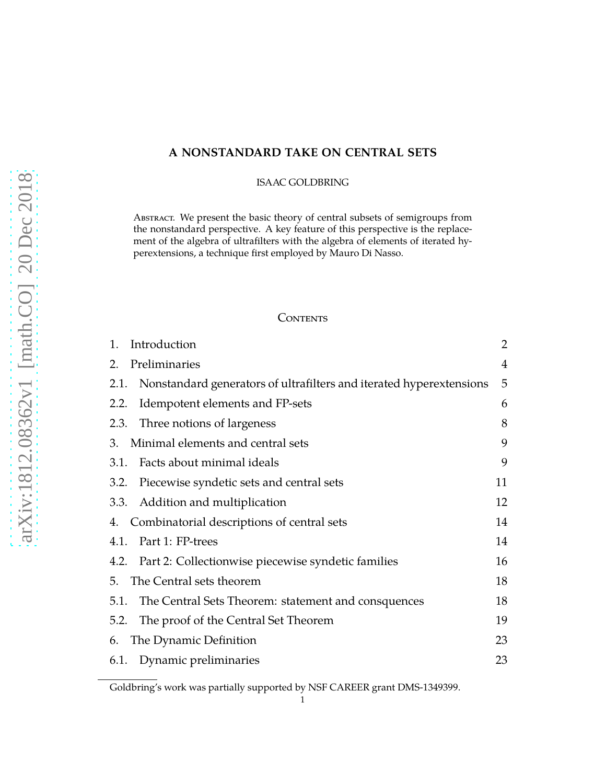# **A NONSTANDARD TAKE ON CENTRAL SETS**

ISAAC GOLDBRING

ABSTRACT. We present the basic theory of central subsets of semigroups from the nonstandard perspective. A key feature of this perspective is the replacement of the algebra of ultrafilters with the algebra of elements of iterated hyperextensions, a technique first employed by Mauro Di Nasso.

## CONTENTS

| Introduction<br>1.                                                          | 2  |
|-----------------------------------------------------------------------------|----|
| Preliminaries<br>2.                                                         | 4  |
| Nonstandard generators of ultrafilters and iterated hyperextensions<br>2.1. | 5  |
| Idempotent elements and FP-sets<br>2.2.                                     | 6  |
| Three notions of largeness<br>2.3.                                          | 8  |
| Minimal elements and central sets<br>3.                                     | 9  |
| Facts about minimal ideals<br>3.1.                                          | 9  |
| Piecewise syndetic sets and central sets<br>3.2.                            | 11 |
| Addition and multiplication<br>3.3.                                         | 12 |
| Combinatorial descriptions of central sets<br>4.                            | 14 |
| Part 1: FP-trees<br>4.1.                                                    | 14 |
| 4.2. Part 2: Collectionwise piecewise syndetic families                     | 16 |
| The Central sets theorem<br>5.                                              | 18 |
| The Central Sets Theorem: statement and consquences<br>5.1.                 | 18 |
| The proof of the Central Set Theorem<br>5.2.                                | 19 |
| The Dynamic Definition<br>6.                                                | 23 |
| 6.1. Dynamic preliminaries                                                  | 23 |

Goldbring's work was partially supported by NSF CAREER grant DMS-1349399.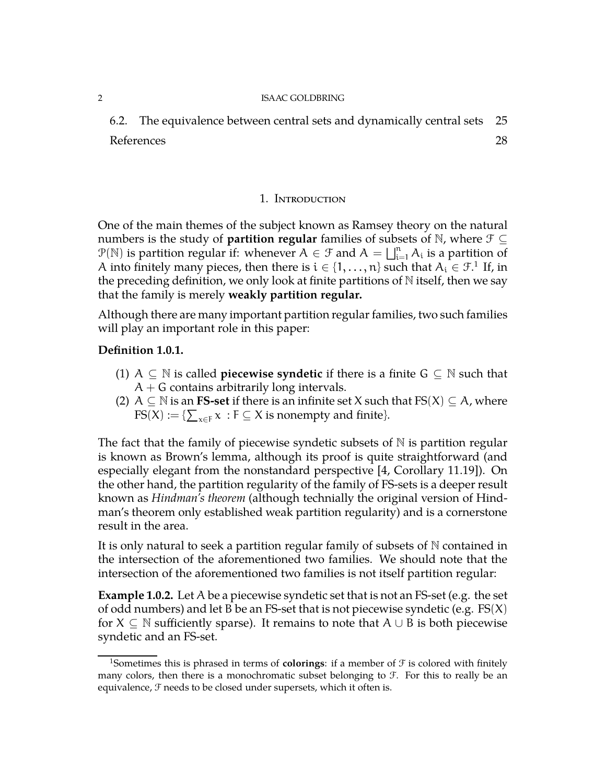6.2. The equivalence between central sets and dynamically central sets [25](#page-24-0) References [28](#page-27-0)

### 1. Introduction

<span id="page-1-0"></span>One of the main themes of the subject known as Ramsey theory on the natural numbers is the study of **partition regular** families of subsets of N, where  $\mathcal{F} \subseteq$  $P(\mathbb{N})$  is partition regular if: whenever  $A \in \mathcal{F}$  and  $A = \bigsqcup_{i=1}^n A_i$  is a partition of A into finitely many pieces, then there is  $i \in \{1, \ldots, n\}$  $i \in \{1, \ldots, n\}$  $i \in \{1, \ldots, n\}$  such that  $A_i \in \mathcal{F}^1$  If, in the preceding definition, we only look at finite partitions of  $N$  itself, then we say that the family is merely **weakly partition regular.**

Although there are many important partition regular families, two such families will play an important role in this paper:

## **Definition 1.0.1.**

- (1) A  $\subseteq$  N is called **piecewise syndetic** if there is a finite  $G \subseteq N$  such that  $A + G$  contains arbitrarily long intervals.
- (2) A  $\subseteq$  N is an **FS-set** if there is an infinite set X such that  $FS(X) \subseteq A$ , where  $\textup{FS}(X) := \{ \sum_{x \in F} x : F \subseteq X \text{ is nonempty and finite} \}.$

The fact that the family of piecewise syndetic subsets of  $N$  is partition regular is known as Brown's lemma, although its proof is quite straightforward (and especially elegant from the nonstandard perspective [\[4,](#page-27-1) Corollary 11.19]). On the other hand, the partition regularity of the family of FS-sets is a deeper result known as *Hindman's theorem* (although technially the original version of Hindman's theorem only established weak partition regularity) and is a cornerstone result in the area.

It is only natural to seek a partition regular family of subsets of N contained in the intersection of the aforementioned two families. We should note that the intersection of the aforementioned two families is not itself partition regular:

**Example 1.0.2.** Let A be a piecewise syndetic set that is not an FS-set (e.g. the set of odd numbers) and let B be an FS-set that is not piecewise syndetic (e.g.  $FS(X)$ for  $X \subseteq \mathbb{N}$  sufficiently sparse). It remains to note that  $A \cup B$  is both piecewise syndetic and an FS-set.

<span id="page-1-1"></span><sup>&</sup>lt;sup>1</sup>Sometimes this is phrased in terms of **colorings**: if a member of  $\mathcal F$  is colored with finitely many colors, then there is a monochromatic subset belonging to  $\mathcal{F}$ . For this to really be an equivalence,  $\mathcal F$  needs to be closed under supersets, which it often is.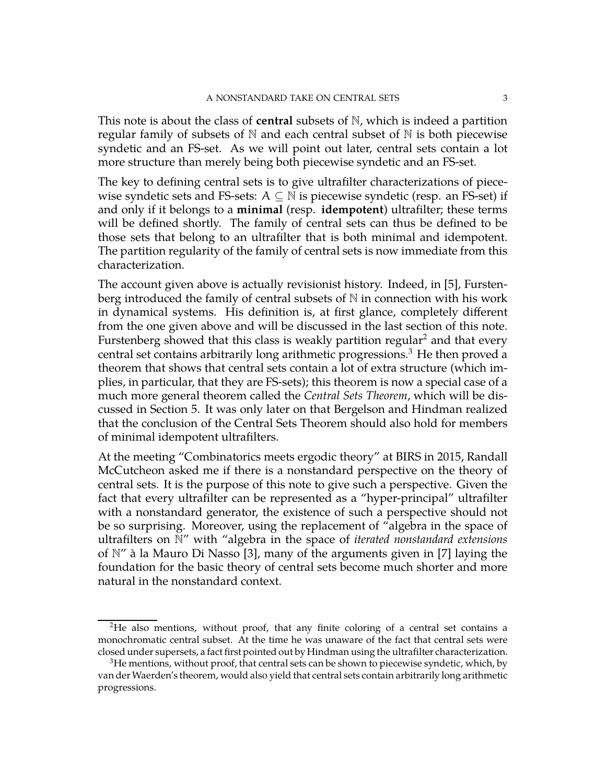This note is about the class of **central** subsets of N, which is indeed a partition regular family of subsets of  $\mathbb N$  and each central subset of  $\mathbb N$  is both piecewise syndetic and an FS-set. As we will point out later, central sets contain a lot more structure than merely being both piecewise syndetic and an FS-set.

The key to defining central sets is to give ultrafilter characterizations of piecewise syndetic sets and FS-sets:  $A \subseteq \mathbb{N}$  is piecewise syndetic (resp. an FS-set) if and only if it belongs to a **minimal** (resp. **idempotent**) ultrafilter; these terms will be defined shortly. The family of central sets can thus be defined to be those sets that belong to an ultrafilter that is both minimal and idempotent. The partition regularity of the family of central sets is now immediate from this characterization.

The account given above is actually revisionist history. Indeed, in [\[5\]](#page-27-2), Furstenberg introduced the family of central subsets of  $\mathbb N$  in connection with his work in dynamical systems. His definition is, at first glance, completely different from the one given above and will be discussed in the last section of this note. Furstenberg showed that this class is weakly partition regular<sup>[2](#page-2-0)</sup> and that every central set contains arbitrarily long arithmetic progressions.<sup>[3](#page-2-1)</sup> He then proved a theorem that shows that central sets contain a lot of extra structure (which implies, in particular, that they are FS-sets); this theorem is now a special case of a much more general theorem called the *Central Sets Theorem*, which will be discussed in Section 5. It was only later on that Bergelson and Hindman realized that the conclusion of the Central Sets Theorem should also hold for members of minimal idempotent ultrafilters.

At the meeting "Combinatorics meets ergodic theory" at BIRS in 2015, Randall McCutcheon asked me if there is a nonstandard perspective on the theory of central sets. It is the purpose of this note to give such a perspective. Given the fact that every ultrafilter can be represented as a "hyper-principal" ultrafilter with a nonstandard generator, the existence of such a perspective should not be so surprising. Moreover, using the replacement of "algebra in the space of ultrafilters on N" with "algebra in the space of *iterated nonstandard extensions* of N" à la Mauro Di Nasso [\[3\]](#page-27-3), many of the arguments given in [\[7\]](#page-27-4) laying the foundation for the basic theory of central sets become much shorter and more natural in the nonstandard context.

<span id="page-2-0"></span><sup>&</sup>lt;sup>2</sup>He also mentions, without proof, that any finite coloring of a central set contains a monochromatic central subset. At the time he was unaware of the fact that central sets were closed under supersets, a fact first pointed out by Hindman using the ultrafilter characterization.

<span id="page-2-1"></span> $3$ He mentions, without proof, that central sets can be shown to piecewise syndetic, which, by van der Waerden's theorem, would also yield that central sets contain arbitrarily long arithmetic progressions.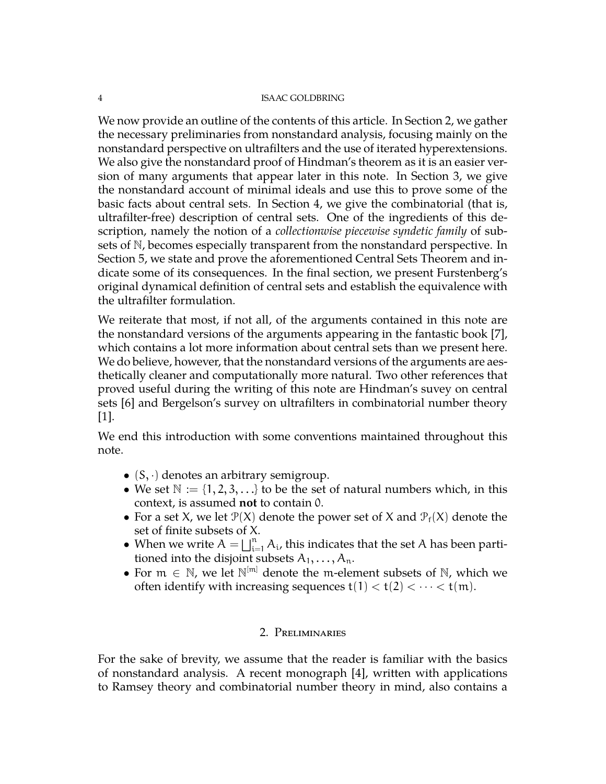We now provide an outline of the contents of this article. In Section 2, we gather the necessary preliminaries from nonstandard analysis, focusing mainly on the nonstandard perspective on ultrafilters and the use of iterated hyperextensions. We also give the nonstandard proof of Hindman's theorem as it is an easier version of many arguments that appear later in this note. In Section 3, we give the nonstandard account of minimal ideals and use this to prove some of the basic facts about central sets. In Section 4, we give the combinatorial (that is, ultrafilter-free) description of central sets. One of the ingredients of this description, namely the notion of a *collectionwise piecewise syndetic family* of subsets of N, becomes especially transparent from the nonstandard perspective. In Section 5, we state and prove the aforementioned Central Sets Theorem and indicate some of its consequences. In the final section, we present Furstenberg's original dynamical definition of central sets and establish the equivalence with the ultrafilter formulation.

We reiterate that most, if not all, of the arguments contained in this note are the nonstandard versions of the arguments appearing in the fantastic book [\[7\]](#page-27-4), which contains a lot more information about central sets than we present here. We do believe, however, that the nonstandard versions of the arguments are aesthetically cleaner and computationally more natural. Two other references that proved useful during the writing of this note are Hindman's suvey on central sets [\[6\]](#page-27-5) and Bergelson's survey on ultrafilters in combinatorial number theory  $|1|$ .

We end this introduction with some conventions maintained throughout this note.

- $(S, \cdot)$  denotes an arbitrary semigroup.
- We set  $\mathbb{N} := \{1, 2, 3, \ldots\}$  to be the set of natural numbers which, in this context, is assumed **not** to contain 0.
- For a set X, we let  $\mathcal{P}(X)$  denote the power set of X and  $\mathcal{P}_f(X)$  denote the set of finite subsets of X.
- When we write  $A = \bigsqcup_{i=1}^n A_i$ , this indicates that the set A has been partitioned into the disjoint subsets  $A_1, \ldots, A_n$ .
- For  $m \in \mathbb{N}$ , we let  $\mathbb{N}^{[m]}$  denote the m-element subsets of  $\mathbb{N}$ , which we often identify with increasing sequences  $t(1) < t(2) < \cdots < t(m)$ .

# 2. Preliminaries

<span id="page-3-0"></span>For the sake of brevity, we assume that the reader is familiar with the basics of nonstandard analysis. A recent monograph [\[4\]](#page-27-1), written with applications to Ramsey theory and combinatorial number theory in mind, also contains a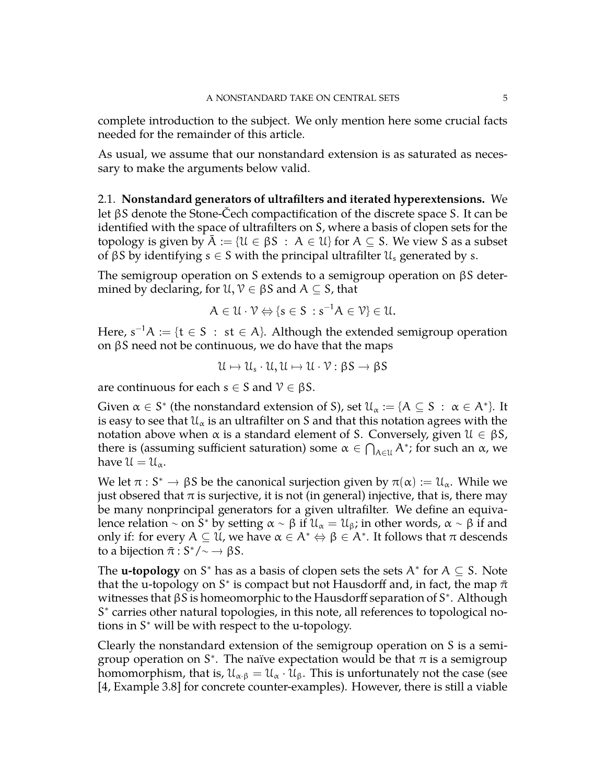complete introduction to the subject. We only mention here some crucial facts needed for the remainder of this article.

As usual, we assume that our nonstandard extension is as saturated as necessary to make the arguments below valid.

<span id="page-4-0"></span>2.1. **Nonstandard generators of ultrafilters and iterated hyperextensions.** We let βS denote the Stone-Čech compactification of the discrete space S. It can be identified with the space of ultrafilters on S, where a basis of clopen sets for the topology is given by  $A := \{U \in \beta S : A \in U\}$  for  $A \subseteq S$ . We view S as a subset of βS by identifying  $s \in S$  with the principal ultrafilter  $\mathcal{U}_s$  generated by s.

The semigroup operation on S extends to a semigroup operation on βS determined by declaring, for  $\mathcal{U}, \mathcal{V} \in \beta S$  and  $A \subseteq S$ , that

$$
A\in\mathcal{U}\cdot\mathcal{V}\Leftrightarrow \{s\in S\,:s^{-1}A\in\mathcal{V}\}\in\mathcal{U}.
$$

Here,  $s^{-1}A := \{t \in S : st \in A\}$ . Although the extended semigroup operation on  $βS$  need not be continuous, we do have that the maps

$$
\mathcal{U} \mapsto \mathcal{U}_s \cdot \mathcal{U}, \mathcal{U} \mapsto \mathcal{U} \cdot \mathcal{V} : \beta S \to \beta S
$$

are continuous for each  $s \in S$  and  $\mathcal{V} \in \beta S$ .

Given  $\alpha \in S^*$  (the nonstandard extension of S), set  $\mathcal{U}_\alpha := \{ A \subseteq S \; : \; \alpha \in A^* \}$ . It is easy to see that  $\mathfrak{U}_{\alpha}$  is an ultrafilter on S and that this notation agrees with the notation above when  $\alpha$  is a standard element of S. Conversely, given  $\mathfrak{U} \in \beta S$ , there is (assuming sufficient saturation) some  $\alpha \in \bigcap_{A \in \mathcal{U}} A^*$ ; for such an  $\alpha$ , we have  $\mathfrak{U} = \mathfrak{U}_{\alpha}$ .

We let  $\pi : S^* \to \beta S$  be the canonical surjection given by  $\pi(\alpha) := \mathcal{U}_{\alpha}$ . While we were observed that  $\pi$  is surjective, it is not (in conord) injective, that is, there may just obsered that  $\pi$  is surjective, it is not (in general) injective, that is, there may be many nonprincipal generators for a given ultrafilter. We define an equivalence relation ~ on  $\bar{S}^*$  by setting  $\alpha \sim \beta$  if  $\mathcal{U}_\alpha = \mathcal{U}_\beta$ ; in other words,  $\alpha \sim \beta$  if and only if: for every  $A \subseteq U$ , we have  $\alpha \in A^* \Leftrightarrow \beta \in A^*$ . It follows that  $\pi$  descends to a bijection  $\bar{\pi}: S^*/\sim \rightarrow \beta S$ .

The **u-topology** on S<sup>\*</sup> has as a basis of clopen sets the sets  $A^*$  for  $A \subseteq S$ . Note that the u-topology on S<sup>\*</sup> is compact but not Hausdorff and, in fact, the map  $\bar{\pi}$ witnesses that βS is homeomorphic to the Hausdorff separation of S<sup>\*</sup>. Although S<sup>\*</sup> carries other natural topologies, in this note, all references to topological notions in S <sup>∗</sup> will be with respect to the u-topology.

Clearly the nonstandard extension of the semigroup operation on S is a semigroup operation on  $S^*$ . The naïve expectation would be that  $\pi$  is a semigroup homomorphism, that is,  $\mathfrak{U}_{\alpha \cdot \beta} = \mathfrak{U}_{\alpha} \cdot \mathfrak{U}_{\beta}$ . This is unfortunately not the case (see [\[4,](#page-27-1) Example 3.8] for concrete counter-examples). However, there is still a viable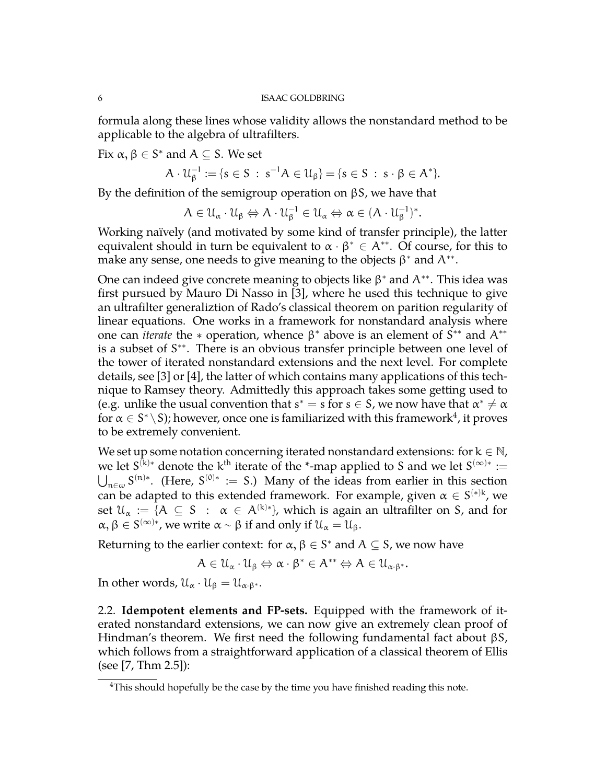formula along these lines whose validity allows the nonstandard method to be applicable to the algebra of ultrafilters.

Fix  $\alpha, \beta \in S^*$  and  $A \subseteq S$ . We set

$$
A \cdot \mathcal{U}_{\beta}^{-1} := \{ s \in S \; : \; s^{-1}A \in \mathcal{U}_{\beta} \} = \{ s \in S \; : \; s \cdot \beta \in A^* \}.
$$

By the definition of the semigroup operation on  $βS$ , we have that

$$
A\in\mathcal{U}_{\alpha}\cdot\mathcal{U}_{\beta}\Leftrightarrow A\cdot\mathcal{U}_{\beta}^{-1}\in\mathcal{U}_{\alpha}\Leftrightarrow\alpha\in(A\cdot\mathcal{U}_{\beta}^{-1})^*.
$$

Working naïvely (and motivated by some kind of transfer principle), the latter equivalent should in turn be equivalent to  $\alpha \cdot \beta^* \in A^{**}$ . Of course, for this to make any sense, one needs to give meaning to the objects  $\beta^*$  and  $A^{**}$ .

One can indeed give concrete meaning to objects like  $\beta^*$  and  $A^{**}$ . This idea was first pursued by Mauro Di Nasso in [\[3\]](#page-27-3), where he used this technique to give an ultrafilter generaliztion of Rado's classical theorem on parition regularity of linear equations. One works in a framework for nonstandard analysis where one can *iterate* the  $*$  operation, whence  $\beta^*$  above is an element of  $S^{**}$  and  $A^{**}$ is a subset of S<sup>\*\*</sup>. There is an obvious transfer principle between one level of the tower of iterated nonstandard extensions and the next level. For complete details, see [\[3\]](#page-27-3) or [\[4\]](#page-27-1), the latter of which contains many applications of this technique to Ramsey theory. Admittedly this approach takes some getting used to (e.g. unlike the usual convention that  $s^* = s$  for  $s \in S$ , we now have that  $\alpha^* \neq \alpha$ for  $\alpha \in S^* \setminus S$ ); however, once one is familiarized with this framework $^4$  $^4$ , it proves to be extremely convenient.

We set up some notation concerning iterated nonstandard extensions: for  $k \in \mathbb{N}$ , we let  $S^{(k)*}$  denote the k<sup>th</sup> iterate of the <sup>\*</sup>-map applied to S and we let  $S^{(\infty)*}$  :=  $\bigcup_{n\in\omega}S^{(n)*}$ . (Here, S<sup>(0)∗</sup> := S.) Many of the ideas from earlier in this section can be adapted to this extended framework. For example, given  $\alpha \in S^{(*)k}$ , we set  $\mathfrak{U}_{\alpha}$   $:=$   $\{A \subseteq S \; : \; \alpha \in A^{(k)*}\}$ , which is again an ultrafilter on S, and for  $\alpha, \beta \in S^{(\infty)*}$ , we write  $\alpha \sim \beta$  if and only if  $\mathcal{U}_{\alpha} = \mathcal{U}_{\beta}$ .

Returning to the earlier context: for  $\alpha, \beta \in S^*$  and  $A \subseteq S$ , we now have

$$
A\in \mathcal{U}_\alpha\cdot \mathcal{U}_\beta \Leftrightarrow \alpha\cdot \beta^*\in A^{**} \Leftrightarrow A\in \mathcal{U}_{\alpha\cdot \beta^*}.
$$

<span id="page-5-0"></span>In other words,  $\mathfrak{U}_{\alpha} \cdot \mathfrak{U}_{\beta} = \mathfrak{U}_{\alpha \cdot \beta^*}.$ 

2.2. **Idempotent elements and FP-sets.** Equipped with the framework of iterated nonstandard extensions, we can now give an extremely clean proof of Hindman's theorem. We first need the following fundamental fact about βS, which follows from a straightforward application of a classical theorem of Ellis (see [\[7,](#page-27-4) Thm 2.5]):

<span id="page-5-1"></span><sup>&</sup>lt;sup>4</sup>This should hopefully be the case by the time you have finished reading this note.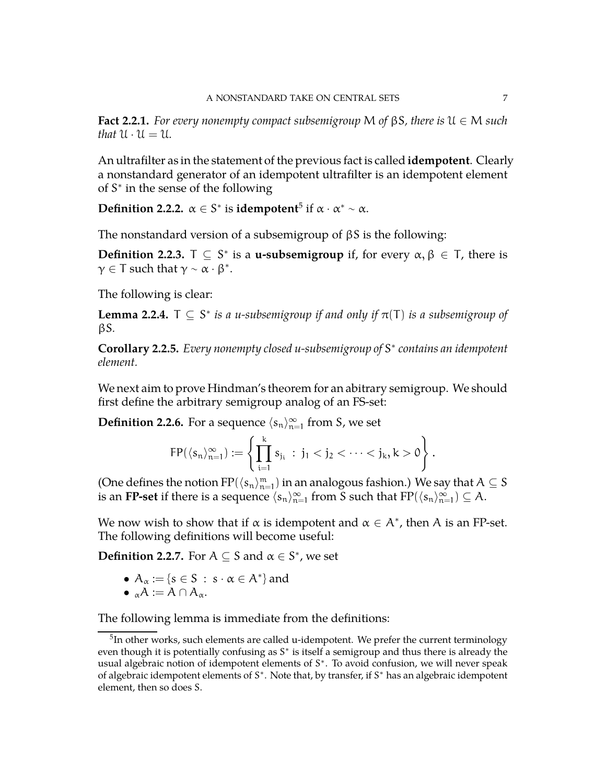**Fact 2.2.1.** *For every nonempty compact subsemigroup* M *of* βS*, there is* U ∈ M *such that*  $U \cdot U = U$ .

An ultrafilter as in the statement of the previous fact is called **idempotent**. Clearly a nonstandard generator of an idempotent ultrafilter is an idempotent element of S<sup>\*</sup> in the sense of the following

**Definition 2.2.2.**  $\alpha \in S^*$  is **idempotent**<sup>[5](#page-6-0)</sup> if  $\alpha \cdot \alpha^* \sim \alpha$ .

The nonstandard version of a subsemigroup of βS is the following:

**Definition 2.2.3.**  $T \subseteq S^*$  is a **u-subsemigroup** if, for every  $\alpha, \beta \in T$ , there is  $\gamma \in T$  such that  $\gamma \sim \alpha \cdot \beta^*$ .

The following is clear:

**Lemma 2.2.4.**  $\top \subseteq S^*$  *is a u-subsemigroup if and only if*  $\pi(\top)$  *is a subsemigroup of* βS*.*

**Corollary 2.2.5.** *Every nonempty closed u-subsemigroup of* S ∗ *contains an idempotent element.*

We next aim to prove Hindman's theorem for an abitrary semigroup. We should first define the arbitrary semigroup analog of an FS-set:

**Definition 2.2.6.** For a sequence  $\langle s_n \rangle_{n=0}^{\infty}$  $_{n=1}^{\infty}$  from S, we set

$$
FP(\langle s_n\rangle_{n=1}^\infty):=\left\{\prod_{i=1}^k s_{j_i}\ :\ j_1< j_2<\cdots< j_k, k>0\right\}.
$$

(One defines the notion  $FP(\langle s_n\rangle_{n=1}^m)$  in an analogous fashion.) We say that  $A\subseteq S$ is an **FP-set** if there is a sequence  $\langle s_n \rangle_{n=0}^{\infty}$  $\sum_{n=1}^{\infty}$  from S such that  $FP(\langle s_n \rangle_{n=1}^{\infty})$  $_{n=1}^{\infty})\subseteq A.$ 

We now wish to show that if  $\alpha$  is idempotent and  $\alpha \in A^*$ , then A is an FP-set. The following definitions will become useful:

**Definition 2.2.7.** For  $A \subseteq S$  and  $\alpha \in S^*$ , we set

- $A_{\alpha} := \{s \in S : s \cdot \alpha \in A^*\}\$ and
- $_{\alpha}A := A \cap A_{\alpha}$ .

The following lemma is immediate from the definitions:

<span id="page-6-0"></span> $5$ In other works, such elements are called u-idempotent. We prefer the current terminology even though it is potentially confusing as S<sup>\*</sup> is itself a semigroup and thus there is already the usual algebraic notion of idempotent elements of S<sup>\*</sup>. To avoid confusion, we will never speak of algebraic idempotent elements of S<sup>\*</sup>. Note that, by transfer, if S<sup>\*</sup> has an algebraic idempotent element, then so does S.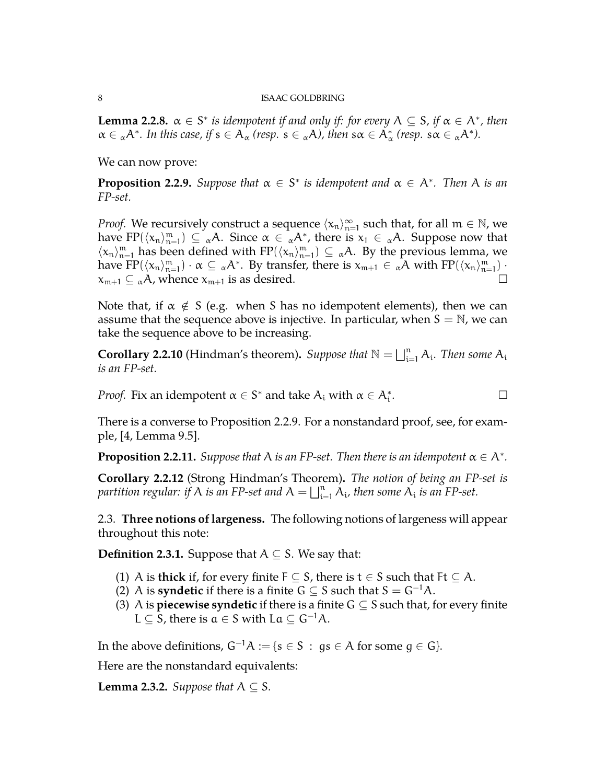**Lemma 2.2.8.**  $\alpha \in S^*$  *is idempotent if and only if: for every*  $A \subseteq S$ *, if*  $\alpha \in A^*$ *, then*  $\alpha \in \alpha A^*$ *. In this case, if*  $s \in A_\alpha$  (resp.  $s \in \alpha A$ *), then*  $s\alpha \in A_\alpha^*$  (resp.  $s\alpha \in \alpha A^*$ *).* 

We can now prove:

<span id="page-7-1"></span>**Proposition 2.2.9.** Suppose that  $\alpha \in S^*$  is idempotent and  $\alpha \in A^*$ . Then A is an *FP-set.*

*Proof.* We recursively construct a sequence  $\langle x_n \rangle_{n=0}^{\infty}$  $_{n=1}^{\infty}$  such that, for all  $m \in \mathbb{N}$ , we have FP( $\langle x_n \rangle_{n=1}^m$ )  $\subseteq \alpha A$ . Since  $\alpha \in \alpha A^*$ , there is  $x_1 \in \alpha A$ . Suppose now that  $\langle x_n \rangle_{n=1}^m$  has been defined with  $FP(\langle x_n \rangle_{n=1}^m) \subseteq \alpha A$ . By the previous lemma, we have  $\text{FP}(\langle x_n \rangle_{n=1}^m) \cdot \alpha \subseteq {}_{\alpha}A^*$ . By transfer, there is  $x_{m+1} \in {}_{\alpha}A$  with  $\text{FP}(\langle x_n \rangle_{n=1}^m)$ .  $x_{m+1} \subseteq \alpha A$ , whence  $x_{m+1}$  is as desired.

Note that, if  $\alpha \notin S$  (e.g. when S has no idempotent elements), then we can assume that the sequence above is injective. In particular, when  $S = N$ , we can take the sequence above to be increasing.

**Corollary 2.2.10** (Hindman's theorem). Suppose that  $\mathbb{N} = \bigsqcup_{i=1}^n A_i$ . Then some  $A_i$ *is an FP-set.*

*Proof.* Fix an idempotent  $\alpha \in S^*$  and take  $A_i$  with  $\alpha \in A_i^*$ .

There is a converse to Proposition [2.2.9.](#page-7-1) For a nonstandard proof, see, for example, [\[4,](#page-27-1) Lemma 9.5].

**Proposition 2.2.11.** *Suppose that* A *is an FP-set. Then there is an idempotent*  $\alpha \in A^*$ *.* 

**Corollary 2.2.12** (Strong Hindman's Theorem)**.** *The notion of being an FP-set is* partition regular: if  $A$  is an FP-set and  $A = \bigsqcup_{i=1}^n A_i$ , then some  $A_i$  is an FP-set.

<span id="page-7-0"></span>2.3. **Three notions of largeness.** The following notions of largeness will appear throughout this note:

**Definition 2.3.1.** Suppose that  $A \subseteq S$ . We say that:

- (1) A is **thick** if, for every finite  $F \subseteq S$ , there is  $t \in S$  such that  $Ft \subseteq A$ .
- (2) A is **syndetic** if there is a finite  $G \subseteq S$  such that  $S = G^{-1}A$ .
- (3) A is **piecewise syndetic** if there is a finite  $G \subseteq S$  such that, for every finite L  $\subseteq$  S, there is  $a \in S$  with La  $\subseteq$  G<sup>-1</sup>A.

In the above definitions,  $G^{-1}A := \{s \in S : gs \in A \text{ for some } g \in G\}.$ 

Here are the nonstandard equivalents:

**Lemma 2.3.2.** *Suppose that*  $A \subseteq S$ *.*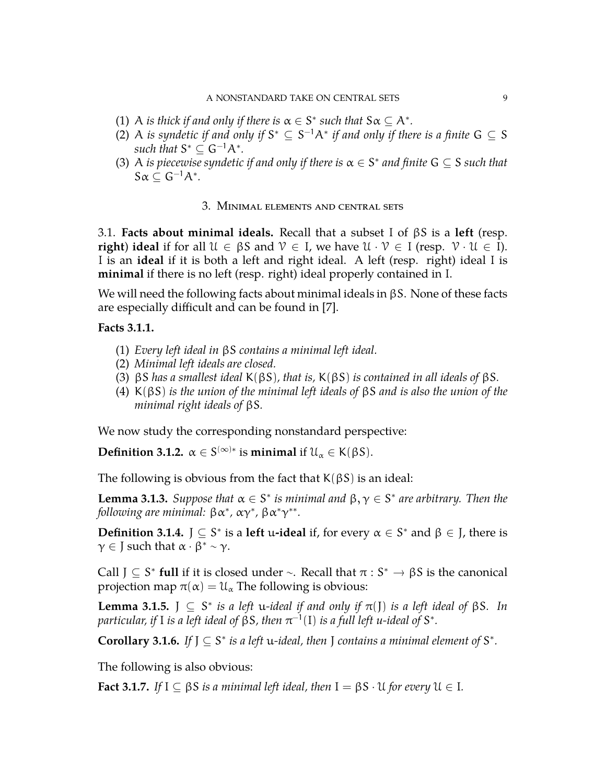- (1) A *is thick if and only if there is*  $\alpha \in S^*$  *such that*  $S \alpha \subseteq A^*$ *.*
- (2) A *is syndetic if and only if*  $S^* \subseteq S^{-1}A^*$  *if and only if there is a finite*  $G \subseteq S$ such that  $S^* \subseteq G^{-1}A^*$ .
- <span id="page-8-0"></span>(3) A *is piecewise syndetic if and only if there is*  $\alpha \in S^*$  *and finite*  $G \subseteq S$  *such that*  $S\alpha \subseteq G^{-1}A^*$ .

### 3. Minimal elements and central sets

<span id="page-8-1"></span>3.1. **Facts about minimal ideals.** Recall that a subset I of βS is a **left** (resp. **right**) **ideal** if for all  $U \in \beta S$  and  $V \in I$ , we have  $U \cdot V \in I$  (resp.  $V \cdot U \in I$ ). I is an **ideal** if it is both a left and right ideal. A left (resp. right) ideal I is **minimal** if there is no left (resp. right) ideal properly contained in I.

We will need the following facts about minimal ideals in βS. None of these facts are especially difficult and can be found in [\[7\]](#page-27-4).

## **Facts 3.1.1.**

- (1) *Every left ideal in* βS *contains a minimal left ideal.*
- (2) *Minimal left ideals are closed.*
- (3) βS *has a smallest ideal* K(βS)*, that is,* K(βS) *is contained in all ideals of* βS*.*
- (4) K(βS) *is the union of the minimal left ideals of* βS *and is also the union of the minimal right ideals of* βS*.*

We now study the corresponding nonstandard perspective:

**Definition 3.1.2.**  $\alpha \in S^{(\infty)*}$  is **minimal** if  $\mathcal{U}_{\alpha} \in K(\beta S)$ .

The following is obvious from the fact that  $K(\beta S)$  is an ideal:

**Lemma 3.1.3.** *Suppose that*  $\alpha \in S^*$  *is minimal and*  $\beta, \gamma \in S^*$  *are arbitrary. Then the*  $\delta$ *following are minimal:*  $\beta \alpha^*$ ,  $\alpha \gamma^*$ ,  $\beta \alpha^* \gamma^{**}$ .

**Definition 3.1.4.**  $J \subseteq S^*$  is a **left** u-**ideal** if, for every  $\alpha \in S^*$  and  $\beta \in J$ , there is  $\gamma \in J$  such that  $\alpha \cdot \beta^* \sim \gamma$ .

Call  $J \subseteq S^*$  **full** if it is closed under ∼. Recall that  $\pi : S^* \to \beta S$  is the canonical presisction map  $\pi(x) = \mathcal{U}$ . The following is obvious: projection map  $\pi(\alpha) = \mathfrak{U}_{\alpha}$  The following is obvious:

**Lemma 3.1.5.**  $\int$   $\subseteq$   $S^*$  *is a left u-ideal if and only if*  $\pi(\int)$  *is a left ideal of*  $\beta S$ *. In* particular, if I is a left ideal of  $\beta S$ , then  $\pi^{-1}(\mathrm{I})$  is a full left u-ideal of  $\mathsf{S}^*$ .

**Corollary 3.1.6.** If  $J \subseteq S^*$  is a left u-ideal, then  $J$  contains a minimal element of  $S^*$ .

The following is also obvious:

**Fact 3.1.7.** *If*  $I \subseteq \beta S$  *is a minimal left ideal, then*  $I = \beta S \cdot U$  *for every*  $U \in I$ *.*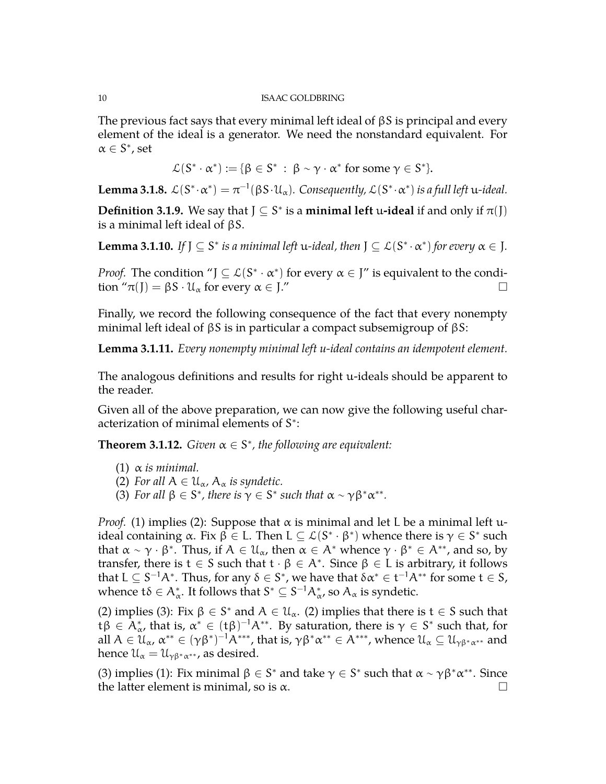The previous fact says that every minimal left ideal of  $\beta S$  is principal and every element of the ideal is a generator. We need the nonstandard equivalent. For  $\alpha \in S^*$ , set

$$
\mathcal{L}(S^*\cdot \alpha^*):=\{\beta\in S^*\,:\; \beta\sim \gamma\cdot \alpha^*\text{ for some }\gamma\in S^*\}.
$$

**Lemma 3.1.8.**  $\mathcal{L}(S^*\cdot \alpha^*) = \pi^{-1}(\beta S\cdot\mathcal{U}_\alpha)$ . Consequently,  $\mathcal{L}(S^*\cdot \alpha^*)$  is a full left u-ideal.

**Definition 3.1.9.** We say that  $J \subseteq S^*$  is a **minimal left** u-ideal if and only if  $\pi(J)$ is a minimal left ideal of βS.

**Lemma 3.1.10.** If  $J \subseteq S^*$  is a minimal left u-ideal, then  $J \subseteq L(S^* \cdot \alpha^*)$  for every  $\alpha \in J$ .

*Proof.* The condition " $J \subseteq L(S^* \cdot \alpha^*)$  for every  $\alpha \in J$ " is equivalent to the condition " $\pi(J) = \beta S \cdot \mathcal{U}_{\alpha}$  for every  $\alpha \in J''$ 

Finally, we record the following consequence of the fact that every nonempty minimal left ideal of βS is in particular a compact subsemigroup of βS:

**Lemma 3.1.11.** *Every nonempty minimal left u-ideal contains an idempotent element.*

The analogous definitions and results for right u-ideals should be apparent to the reader.

Given all of the above preparation, we can now give the following useful characterization of minimal elements of S<sup>\*</sup>:

<span id="page-9-0"></span>**Theorem 3.1.12.** *Given*  $\alpha \in S^*$ *, the following are equivalent:* 

- (1)  $\alpha$  *is minimal.*
- (2) *For all*  $A \in \mathcal{U}_{\alpha}$ ,  $A_{\alpha}$  *is syndetic.*
- (3) *For all*  $\beta \in S^*$ *, there is*  $\gamma \in S^*$  *such that*  $\alpha \sim \gamma \beta^* \alpha^{**}$ *.*

*Proof.* (1) implies (2): Suppose that  $\alpha$  is minimal and let L be a minimal left uideal containing α. Fix β ∈ L. Then L ⊆  $\mathcal{L}(S^* \cdot \beta^*)$  whence there is γ ∈  $S^*$  such that  $\alpha \sim \gamma \cdot \beta^*$ . Thus, if  $A \in \mathcal{U}_\alpha$ , then  $\alpha \in A^*$  whence  $\gamma \cdot \beta^* \in A^{**}$ , and so, by transfer, there is  $t \in S$  such that  $t \cdot \beta \in A^*$ . Since  $\beta \in L$  is arbitrary, it follows that  $L \subseteq S^{-1}A^*$ . Thus, for any  $\delta \in S^*$ , we have that  $\delta \alpha^* \in t^{-1}A^{**}$  for some  $t \in S$ , whence  $t\delta \in A^*_{\alpha}$ . It follows that  $S^* \subseteq S^{-1}A^*_{\alpha}$ , so  $A_{\alpha}$  is syndetic.

(2) implies (3): Fix  $\beta \in S^*$  and  $A \in \mathcal{U}_{\alpha}$ . (2) implies that there is  $t \in S$  such that t $\beta \in \bar{A}^*_{\alpha}$ , that is,  $\alpha^* \in (t\beta)^{-1}A^{**}$ . By saturation, there is  $\gamma \in S^*$  such that, for all  $A\in\mathfrak{U}_\alpha$ ,  $\alpha^{**}\in (\gamma\beta^*)^{-1}\mathcal{A}^{***}$ , that is,  $\gamma\beta^*\alpha^{**}\in \mathcal{A}^{***}$ , whence  $\mathfrak{U}_\alpha\subseteq \mathfrak{U}_{\gamma\beta^*\alpha^{**}}$  and hence  $\mathfrak{U}_{\alpha} = \mathfrak{U}_{\gamma\beta^*\alpha^{**}}$ , as desired.

(3) implies (1): Fix minimal  $\beta \in S^*$  and take  $\gamma \in S^*$  such that  $\alpha \sim \gamma \beta^* \alpha^{**}$ . Since the latter element is minimal, so is  $\alpha$ .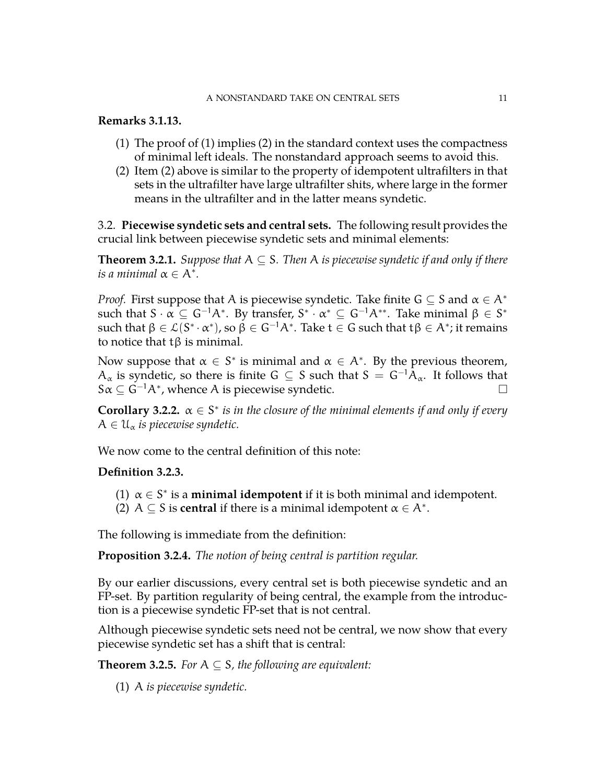### A NONSTANDARD TAKE ON CENTRAL SETS 11

## **Remarks 3.1.13.**

- (1) The proof of (1) implies (2) in the standard context uses the compactness of minimal left ideals. The nonstandard approach seems to avoid this.
- (2) Item (2) above is similar to the property of idempotent ultrafilters in that sets in the ultrafilter have large ultrafilter shits, where large in the former means in the ultrafilter and in the latter means syndetic.

<span id="page-10-0"></span>3.2. **Piecewise syndetic sets and central sets.** The following result provides the crucial link between piecewise syndetic sets and minimal elements:

**Theorem 3.2.1.** *Suppose that*  $A \subseteq S$ *. Then* A *is piecewise syndetic if and only if there* is a minimal  $\alpha \in A^*$ .

*Proof.* First suppose that A is piecewise syndetic. Take finite  $G \subseteq S$  and  $\alpha \in A^*$ such that S  $\cdot \alpha \subseteq G^{-1}A^*$ . By transfer,  $S^* \cdot \alpha^* \subseteq G^{-1}A^{**}$ . Take minimal  $\beta \in S^*$ such that  $\beta\in\mathcal{L}(S^*\cdot\alpha^* )$ , so  $\beta\in G^{-1}A^*.$  Take  $\mathsf{t}\in G$  such that  $\mathsf{t}\beta\in A^*;$  it remains to notice that tβ is minimal.

Now suppose that  $\alpha \in S^*$  is minimal and  $\alpha \in A^*$ . By the previous theorem,  $A_{\alpha}$  is syndetic, so there is finite G  $\subseteq$  S such that  $S = G^{-1}A_{\alpha}$ . It follows that  $S\alpha \subseteq \overline{G}^{-1}A^*$ , whence A is piecewise syndetic.

**Corollary 3.2.2.**  $\alpha \in S^*$  *is in the closure of the minimal elements if and only if every*  $A \in \mathfrak{U}_{\alpha}$  *is piecewise syndetic.* 

We now come to the central definition of this note:

## **Definition 3.2.3.**

- (1)  $\alpha \in S^*$  is a **minimal idempotent** if it is both minimal and idempotent.
- (2)  $A \subseteq S$  is **central** if there is a minimal idempotent  $\alpha \in A^*$ .

The following is immediate from the definition:

**Proposition 3.2.4.** *The notion of being central is partition regular.*

By our earlier discussions, every central set is both piecewise syndetic and an FP-set. By partition regularity of being central, the example from the introduction is a piecewise syndetic FP-set that is not central.

Although piecewise syndetic sets need not be central, we now show that every piecewise syndetic set has a shift that is central:

**Theorem 3.2.5.** *For*  $A \subseteq S$ *, the following are equivalent:* 

(1) A *is piecewise syndetic.*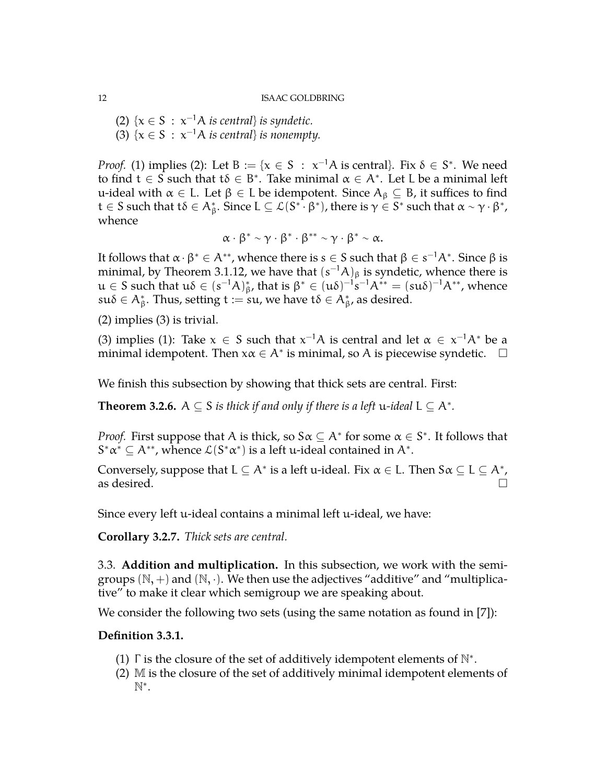(2)  $\{x \in S : x^{-1}A \text{ is central}\}$  *is syndetic.* (3)  $\{x \in S : x^{-1}A \text{ is central}\}$  *is nonempty.* 

*Proof.* (1) implies (2): Let  $B := \{x \in S : x^{-1}A \text{ is central}\}\$ . Fix  $\delta \in S^*$ . We need to find  $t \in S$  such that  $t\delta \in B^*$ . Take minimal  $\alpha \in A^*$ . Let L be a minimal left u-ideal with  $\alpha \in L$ . Let  $\beta \in L$  be idempotent. Since  $A_{\beta} \subseteq B$ , it suffices to find  $t\in S$  such that  $t\delta\in A^*_\beta.$  Since  $L\subseteq \mathcal{L}(S^{*\mathsf{T}}\!\cdot\beta^*)$ , there is  $\gamma\in S^*$  such that  $\alpha\sim\gamma\cdot\beta^*$ , whence

$$
\alpha\cdot\beta^*\sim\gamma\cdot\beta^*\cdot\beta^{**}\sim\gamma\cdot\beta^*\sim\alpha.
$$

It follows that  $\alpha\cdot\beta^*\in A^{**}$ , whence there is  $s\in S$  such that  $\beta\in s^{-1}A^*.$  Since  $\beta$  is minimal, by Theorem [3.1.12,](#page-9-0) we have that  $(s^{-1}A)_\beta$  is syndetic, whence there is  $u \in S$  such that  $u\delta \in (s^{-1}A)_{\beta}^*$ , that is  $\beta^* \in (u\delta)^{-1}s^{-1}A^{**} = (su\delta)^{-1}A^{**}$ , whence  $\mathsf{su}\delta\in\mathsf{A}^*_\beta.$  Thus, setting  $\mathsf{t}:=\mathsf{su},$  we have  $\mathsf{t}\delta\in\mathsf{A}^*_\beta$ , as desired.

(2) implies (3) is trivial.

(3) implies (1): Take  $x \in S$  such that  $x^{-1}A$  is central and let  $\alpha \in x^{-1}A^*$  be a minimal idempotent. Then  $x\alpha \in A^*$  is minimal, so A is piecewise syndetic.  $\Box$ 

We finish this subsection by showing that thick sets are central. First:

**Theorem 3.2.6.**  $A \subseteq S$  *is thick if and only if there is a left* u-*ideal*  $L \subseteq A^*$ *.* 

*Proof.* First suppose that A is thick, so  $S \alpha \subseteq A^*$  for some  $\alpha \in S^*$ . It follows that  $S^*\alpha^* \subseteq A^{**}$ , whence  $\mathcal{L}(S^*\alpha^*)$  is a left u-ideal contained in  $A^*$ .

Conversely, suppose that  $L \subseteq A^*$  is a left u-ideal. Fix  $\alpha \in L$ . Then  $S \alpha \subseteq L \subseteq A^*$ , as desired.  $\Box$ 

Since every left u-ideal contains a minimal left u-ideal, we have:

<span id="page-11-0"></span>**Corollary 3.2.7.** *Thick sets are central.*

3.3. **Addition and multiplication.** In this subsection, we work with the semigroups  $(N,+)$  and  $(N, \cdot)$ . We then use the adjectives "additive" and "multiplicative" to make it clear which semigroup we are speaking about.

We consider the following two sets (using the same notation as found in [\[7\]](#page-27-4)):

## **Definition 3.3.1.**

- (1)  $\Gamma$  is the closure of the set of additively idempotent elements of  $\mathbb{N}^*$ .
- (2) M is the closure of the set of additively minimal idempotent elements of N ∗ .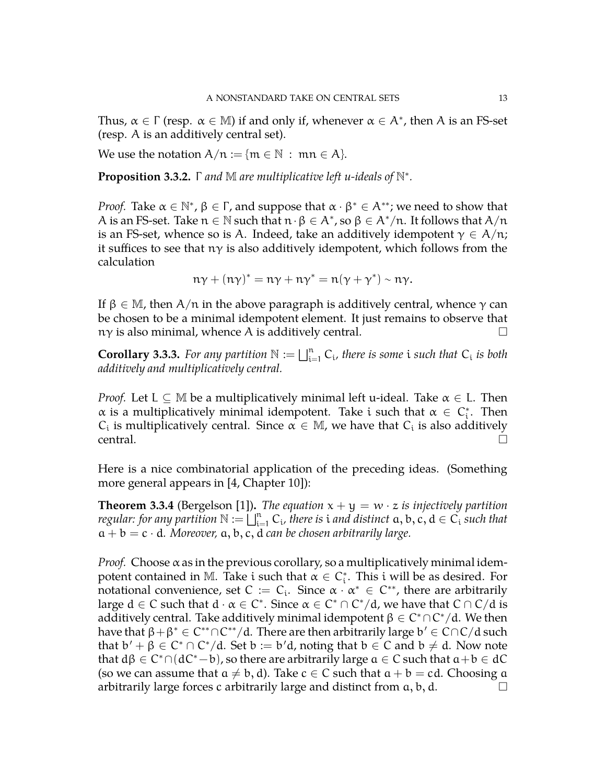Thus,  $\alpha \in \Gamma$  (resp.  $\alpha \in M$ ) if and only if, whenever  $\alpha \in A^*$ , then A is an FS-set (resp. A is an additively central set).

We use the notation  $A/n := \{m \in \mathbb{N} : mn \in A\}.$ 

**Proposition 3.3.2.** Γ *and* M *are multiplicative left u-ideals of* N ∗ *.*

*Proof.* Take  $\alpha \in \mathbb{N}^*$ ,  $\beta \in \Gamma$ , and suppose that  $\alpha \cdot \beta^* \in A^{**}$ ; we need to show that A is an FS-set. Take  $n \in \mathbb{N}$  such that  $n \cdot \beta \in A^*$ , so  $\beta \in A^*/n$ . It follows that  $A/n$ is an FS-set, whence so is A. Indeed, take an additively idempotent  $\gamma \in A/n$ ; it suffices to see that  $n\gamma$  is also additively idempotent, which follows from the calculation

$$
n\gamma + (n\gamma)^* = n\gamma + n\gamma^* = n(\gamma + \gamma^*) \sim n\gamma.
$$

If  $\beta \in M$ , then  $A/\pi$  in the above paragraph is additively central, whence  $\gamma$  can be chosen to be a minimal idempotent element. It just remains to observe that  $n\gamma$  is also minimal, whence A is additively central.

**Corollary 3.3.3.** For any partition  $\mathbb{N} := \bigsqcup_{i=1}^n C_i$ , there is some i such that  $C_i$  is both *additively and multiplicatively central.*

*Proof.* Let  $L \subset M$  be a multiplicatively minimal left u-ideal. Take  $\alpha \in L$ . Then  $\alpha$  is a multiplicatively minimal idempotent. Take i such that  $\alpha \in C_i^*$ . Then  $C_i$  is multiplicatively central. Since  $\alpha \in \mathbb{M}$ , we have that  $C_i$  is also additively  $\Gamma$  central.

Here is a nice combinatorial application of the preceding ideas. (Something more general appears in [\[4,](#page-27-1) Chapter 10]):

**Theorem 3.3.4** (Bergelson [\[1\]](#page-27-6)). *The equation*  $x + y = w \cdot z$  *is injectively partition regular: for any partition*  $\mathbb{N} := \bigsqcup_{i=1}^n C_i$ , there is  $i$  *and distinct*  $a, b, c, d \in C_i$  *such that*  $a + b = c \cdot d$ *. Moreover,*  $a, b, c, d$  *can be chosen arbitrarily large.* 

*Proof.* Choose  $\alpha$  as in the previous corollary, so a multiplicatively minimal idempotent contained in M. Take i such that  $\alpha \in C_{i}^{*}$ . This i will be as desired. For notational convenience, set  $C := C_i$ . Since  $\alpha \cdot \alpha^* \in C^{**}$ , there are arbitrarily large  $d \in C$  such that  $d \cdot \alpha \in C^*$ . Since  $\alpha \in C^* \cap C^* / d$ , we have that  $C \cap C / d$  is additively central. Take additively minimal idempotent  $\beta \in C^* \cap C^* / \mathrm{d}.$  We then have that  $\beta + \beta^* \in C^{**} \cap C^{**}/d$ . There are then arbitrarily large  $b' \in C \cap C/d$  such that  $b' + \beta \in C^* \cap C^* / d$ . Set  $b := b'd$ , noting that  $b \in C$  and  $b \neq d$ . Now note that  $d\beta \in C^* \cap (dC^* - b)$ , so there are arbitrarily large  $a \in C$  such that  $a + b \in dC$ (so we can assume that  $a \neq b$ , d). Take  $c \in C$  such that  $a + b = cd$ . Choosing a arbitrarily large forces c arbitrarily large and distinct from  $a, b, d$ .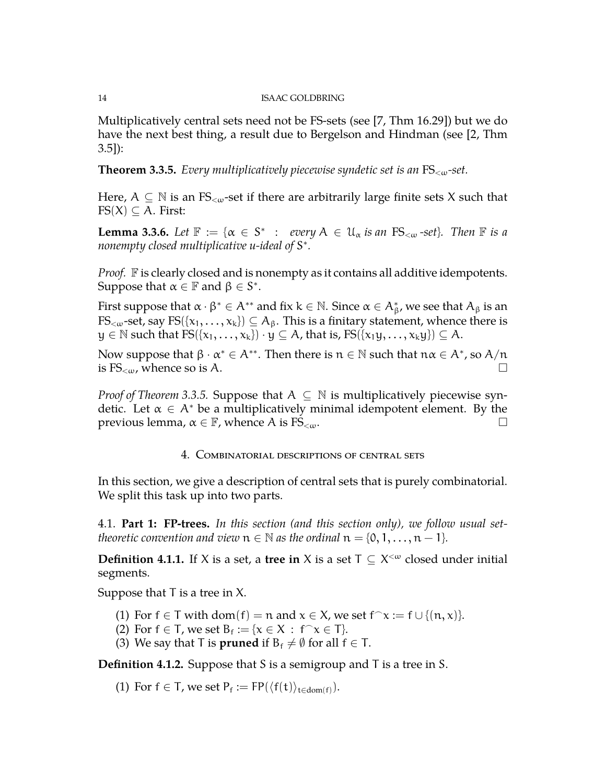Multiplicatively central sets need not be FS-sets (see [\[7,](#page-27-4) Thm 16.29]) but we do have the next best thing, a result due to Bergelson and Hindman (see [\[2,](#page-27-7) Thm  $(3.5)$ :

<span id="page-13-2"></span>**Theorem 3.3.5.** *Every multiplicatively piecewise syndetic set is an* FS<ω*-set.*

Here,  $A \subseteq \mathbb{N}$  is an FS<sub>< $\omega$ </sub>-set if there are arbitrarily large finite sets X such that  $FS(X) \subseteq A$ . First:

**Lemma 3.3.6.** Let  $\mathbb{F} := \{ \alpha \in S^* : \text{every } A \in \mathcal{U}_\alpha \text{ is an FS}_{\leq \omega} \text{ -set} \}.$  Then  $\mathbb{F}$  is a *nonempty closed multiplicative u-ideal of* S ∗ *.*

*Proof.* F is clearly closed and is nonempty as it contains all additive idempotents. Suppose that  $\alpha \in \mathbb{F}$  and  $\beta \in S^*$ .

First suppose that  $\alpha \cdot \beta^* \in A^{**}$  and fix  $k \in \mathbb{N}$ . Since  $\alpha \in A^*_\beta$ , we see that  $A_\beta$  is an  $FS_{\leq w}$ -set, say  $FS({x_1, \ldots, x_k}) \subseteq A_\beta$ . This is a finitary statement, whence there is  $y \in \mathbb{N}$  such that  $FS({x_1, \ldots, x_k}) \cdot y \subseteq A$ , that is,  $FS({x_1y, \ldots, x_ky}) \subseteq A$ .

Now suppose that  $\beta \cdot \alpha^* \in A^{**}$ . Then there is  $n \in \mathbb{N}$  such that  $n\alpha \in A^*$ , so  $A/n$ is  $FS_{\leq \omega}$ , whence so is A.

<span id="page-13-0"></span>*Proof of Theorem* [3.3.5.](#page-13-2) Suppose that  $A \subseteq \mathbb{N}$  is multiplicatively piecewise syndetic. Let  $\alpha \in A^*$  be a multiplicatively minimal idempotent element. By the previous lemma,  $\alpha \in \mathbb{F}$ , whence A is FS<sub><ω</sub>.  $□$ 

## 4. Combinatorial descriptions of central sets

In this section, we give a description of central sets that is purely combinatorial. We split this task up into two parts.

<span id="page-13-1"></span>4.1. **Part 1: FP-trees.** *In this section (and this section only), we follow usual settheoretic convention and view*  $n \in \mathbb{N}$  *as the ordinal*  $n = \{0, 1, \ldots, n - 1\}$ *.* 

**Definition 4.1.1.** If X is a set, a **tree in** X is a set  $T \subseteq X^{\lt \omega}$  closed under initial segments.

Suppose that T is a tree in X.

- (1) For  $f \in T$  with  $dom(f) = n$  and  $x \in X$ , we set  $f \cap x := f \cup \{(n, x)\}.$
- (2) For  $f \in T$ , we set  $B_f := \{x \in X : f^{\frown} x \in T\}$ .
- (3) We say that T is **pruned** if  $B_f \neq \emptyset$  for all  $f \in T$ .

**Definition 4.1.2.** Suppose that S is a semigroup and T is a tree in S.

(1) For  $f \in T$ , we set  $P_f := FP(\langle f(t) \rangle_{t \in dom(f)})$ .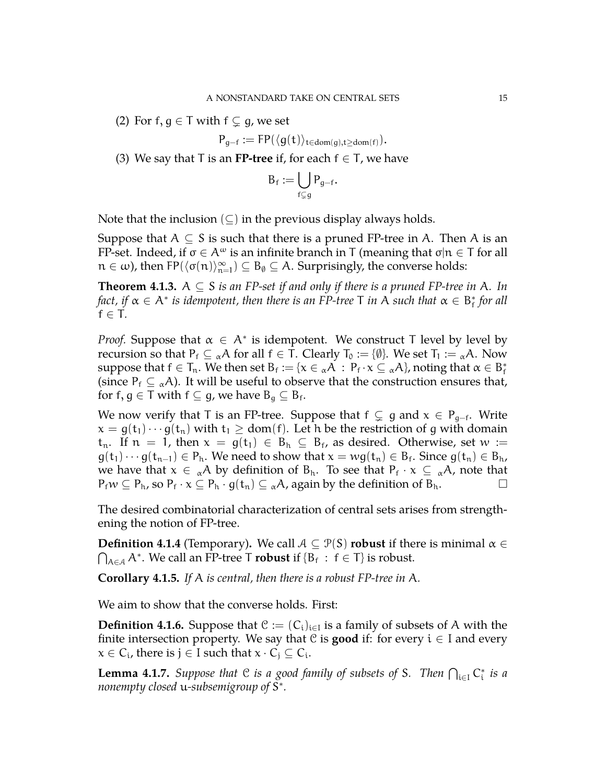(2) For f,  $g \in T$  with  $f \subsetneq g$ , we set

$$
P_{g-f} := \mathsf{FP}(\langle g(t) \rangle_{t \in dom(g), t \geq dom(f)}).
$$

(3) We say that T is an **FP-tree** if, for each  $f \in T$ , we have

$$
B_f := \bigcup_{f \subsetneq g} P_{g-f}
$$

.

Note that the inclusion  $(\subseteq)$  in the previous display always holds.

Suppose that  $A \subseteq S$  is such that there is a pruned FP-tree in A. Then A is an FP-set. Indeed, if  $\sigma \in A^{\omega}$  is an infinite branch in T (meaning that  $\sigma | n \in T$  for all  $n \in \omega$ ), then  $FP(\langle \sigma(n) \rangle_{n=0}^{\infty})$  $\binom{\infty}{n=1}$   $\subseteq$   $B_{\emptyset}$   $\subseteq$  A. Surprisingly, the converse holds:

**Theorem 4.1.3.** A  $\subseteq$  S *is an FP-set if and only if there is a pruned FP-tree in* A. In  $f$ act, if  $\alpha \in A^*$  is idempotent, then there is an FP-tree T in  $A$  such that  $\alpha \in B^*_f$  for all  $f \in T$ *.* 

*Proof.* Suppose that  $\alpha \in A^*$  is idempotent. We construct T level by level by recursion so that  $P_f \subseteq {}_{\alpha}A$  for all  $f \in T$ . Clearly  $T_0 := {\emptyset}$ . We set  $T_1 := {}_{\alpha}A$ . Now suppose that  $f \in T_n$ . We then set  $B_f := \{x \in {}_{\alpha}A : P_f \cdot x \subseteq {}_{\alpha}A\}$ , noting that  $\alpha \in B_f^*$ (since  $P_f \subseteq {}_{\alpha}A$ ). It will be useful to observe that the construction ensures that, for f,  $g \in T$  with  $f \subseteq g$ , we have  $B_g \subseteq B_f$ .

We now verify that T is an FP-tree. Suppose that  $f \subsetneq g$  and  $x \in P_{g-f}$ . Write  $x = g(t_1) \cdots g(t_n)$  with  $t_1 \geq dom(f)$ . Let h be the restriction of g with domain  $t_n$ . If  $n = 1$ , then  $x = g(t_1) \in B_h \subseteq B_f$ , as desired. Otherwise, set  $w :=$  $g(t_1)\cdots g(t_{n-1})\in P_h$ . We need to show that  $x=wg(t_n)\in B_f$ . Since  $g(t_n)\in B_h$ , we have that  $x \in {}_{\alpha}A$  by definition of  $B_h$ . To see that  $P_f \cdot x \subseteq {}_{\alpha}A$ , note that  $P_f w \subseteq P_h$ , so  $P_f \cdot x \subseteq P_h \cdot g(t_n) \subseteq {}_{\alpha}A$ , again by the definition of  $B_h$ .

The desired combinatorial characterization of central sets arises from strengthening the notion of FP-tree.

**Definition 4.1.4** (Temporary). We call  $A \subseteq \mathcal{P}(S)$  **robust** if there is minimal  $\alpha \in \mathcal{P}(S)$  $\bigcap_{A \in \mathcal{A}} A^*$ . We call an FP-tree T **robust** if  $\{B_f : f \in T\}$  is robust.

**Corollary 4.1.5.** *If* A *is central, then there is a robust FP-tree in* A*.*

We aim to show that the converse holds. First:

**Definition 4.1.6.** Suppose that  $\mathcal{C} := (C_i)_{i \in I}$  is a family of subsets of A with the finite intersection property. We say that  $C$  is **good** if: for every  $i \in I$  and every  $x \in C_i$ , there is  $j \in I$  such that  $x \cdot C_j \subseteq C_i$ .

**Lemma 4.1.7.** Suppose that  $C$  is a good family of subsets of S. Then  $\bigcap_{i\in I} C_i^*$  is a *nonempty closed* u*-subsemigroup of* S ∗ *.*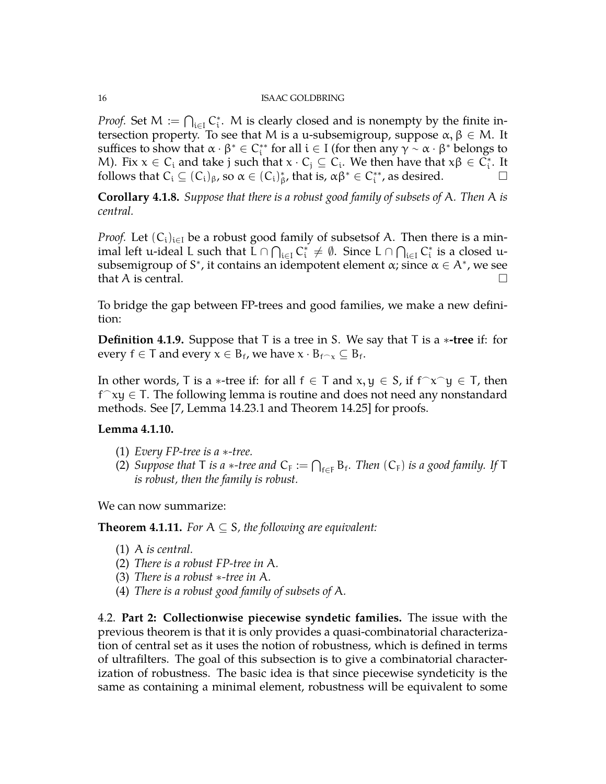*Proof.* Set  $M := \bigcap_{i \in I} C_i^*$ . M is clearly closed and is nonempty by the finite intersection property. To see that M is a u-subsemigroup, suppose  $\alpha, \beta \in M$ . It suffices to show that  $\alpha \cdot \beta^* \in C_i^{**}$  for all  $i \in I$  (for then any  $\gamma \sim \alpha \cdot \beta^*$  belongs to M). Fix  $x \in C_i$  and take j such that  $x \cdot C_j \subseteq C_i$ . We then have that  $x\beta \in C_i^*$ . It follows that  $C_i \subseteq (C_i)_{\beta}$ , so  $\alpha \in (C_i)_{\beta}^*$ , that is,  $\alpha \beta^* \in C_i^{**}$ , as desired.

**Corollary 4.1.8.** *Suppose that there is a robust good family of subsets of* A*. Then* A *is central.*

*Proof.* Let  $(C_i)_{i\in I}$  be a robust good family of subsetsof A. Then there is a minimal left u-ideal L such that  $L \cap \bigcap_{i \in I} C_i^* \neq \emptyset$ . Since  $L \cap \bigcap_{i \in I} C_i^*$  is a closed usubsemigroup of S<sup>\*</sup>, it contains an idempotent element  $\alpha$ ; since  $\alpha \in A^*$ , we see that A is central.  $\square$ 

To bridge the gap between FP-trees and good families, we make a new definition:

**Definition 4.1.9.** Suppose that T is a tree in S. We say that T is a ∗**-tree** if: for every  $f \in T$  and every  $x \in B_f$ , we have  $x \cdot B_{f \cap x} \subseteq B_f$ .

In other words, T is a  $\ast$ -tree if: for all  $f \in T$  and  $x, y \in S$ , if  $f^{\frown}x^{\frown}y \in T$ , then f ⌢xy ∈ T. The following lemma is routine and does not need any nonstandard methods. See [\[7,](#page-27-4) Lemma 14.23.1 and Theorem 14.25] for proofs.

### **Lemma 4.1.10.**

- (1) *Every FP-tree is a* ∗*-tree.*
- (2) Suppose that T is a  $*$ -tree and  $C_F := \bigcap_{f \in F} B_f$ . Then  $(C_F)$  is a good family. If T *is robust, then the family is robust.*

We can now summarize:

**Theorem 4.1.11.** *For*  $A \subseteq S$ *, the following are equivalent:* 

- (1) A *is central.*
- (2) *There is a robust FP-tree in* A*.*
- (3) *There is a robust* ∗*-tree in* A*.*
- (4) *There is a robust good family of subsets of* A*.*

<span id="page-15-0"></span>4.2. **Part 2: Collectionwise piecewise syndetic families.** The issue with the previous theorem is that it is only provides a quasi-combinatorial characterization of central set as it uses the notion of robustness, which is defined in terms of ultrafilters. The goal of this subsection is to give a combinatorial characterization of robustness. The basic idea is that since piecewise syndeticity is the same as containing a minimal element, robustness will be equivalent to some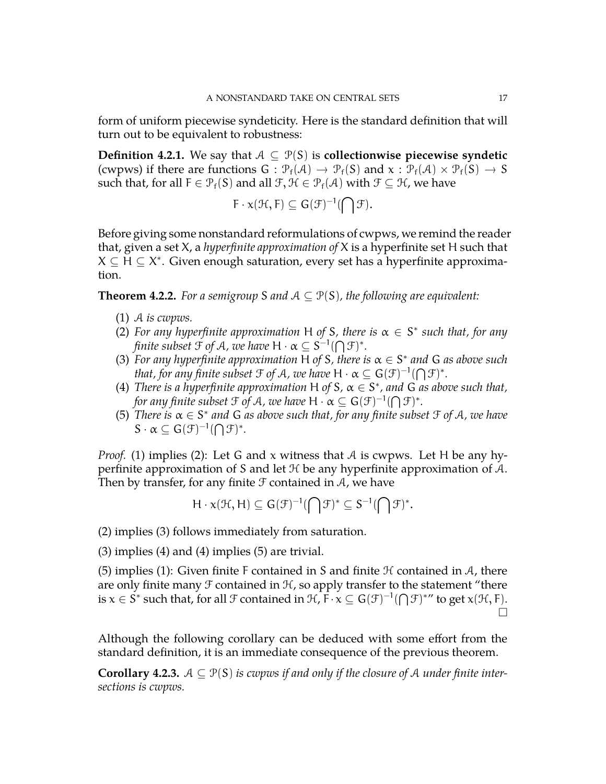form of uniform piecewise syndeticity. Here is the standard definition that will turn out to be equivalent to robustness:

**Definition 4.2.1.** We say that  $A ⊆ P(S)$  is **collectionwise piecewise syndetic** (cwpws) if there are functions  $G : \mathcal{P}_f(\mathcal{A}) \to \mathcal{P}_f(S)$  and  $x : \mathcal{P}_f(\mathcal{A}) \times \mathcal{P}_f(S) \to S$ such that, for all  $F \in \mathcal{P}_f(S)$  and all  $\mathcal{F}, \mathcal{H} \in \mathcal{P}_f(\mathcal{A})$  with  $\mathcal{F} \subseteq \mathcal{H}$ , we have

$$
F\cdot \chi(\mathfrak{H},F)\subseteq G(\mathfrak{F})^{-1}(\bigcap \mathfrak{F}).
$$

Before giving some nonstandard reformulations of cwpws, we remind the reader that, given a set X, a *hyperfinite approximation of* X is a hyperfinite set H such that  $X \subseteq H \subseteq X^*$ . Given enough saturation, every set has a hyperfinite approximation.

<span id="page-16-0"></span>**Theorem 4.2.2.** For a semigroup S and  $A \subseteq \mathcal{P}(S)$ , the following are equivalent:

- (1) A *is cwpws.*
- (2) For any hyperfinite approximation H of S, there is  $\alpha \in S^*$  such that, for any *finite subset*  $\mathfrak{F}$  *of A, we have*  $H \cdot \alpha \subseteq S^{-1}(\bigcap \mathfrak{F})^*.$
- (3) For any hyperfinite approximation H of S, there is  $\alpha \in S^*$  and G as above such *that, for any finite subset*  $\mathfrak{F}$  *of*  $\mathcal{A}$ *, we have*  $\mathsf{H} \cdot \alpha \subseteq \mathsf{G}(\mathfrak{F})^{-1}(\bigcap \mathfrak{F})^*.$
- (4) *There is a hyperfinite approximation* H *of* S,  $\alpha \in S^*$ , and G as above such that, for any finite subset  $\mathfrak F$  of  $\mathcal A$ , we have  $\mathsf H \cdot \alpha \subseteq \mathsf G(\mathfrak F)^{-1}(\bigcap \mathfrak F)^*$ .
- (5) *There is* α ∈ S ∗ *and* G *as above such that, for any finite subset* F *of* A*, we have*  $S \cdot \alpha \subseteq G(\mathcal{F})^{-1}(\bigcap \mathcal{F})^*$ .

*Proof.* (1) implies (2): Let G and x witness that A is cwpws. Let H be any hyperfinite approximation of S and let  $H$  be any hyperfinite approximation of  $A$ . Then by transfer, for any finite  $\mathcal F$  contained in  $\mathcal A$ , we have

$$
H \cdot x(\mathcal{H}, H) \subseteq G(\mathcal{F})^{-1}(\bigcap \mathcal{F})^* \subseteq S^{-1}(\bigcap \mathcal{F})^*.
$$

(2) implies (3) follows immediately from saturation.

(3) implies (4) and (4) implies (5) are trivial.

(5) implies (1): Given finite F contained in S and finite  $H$  contained in  $A$ , there are only finite many  $\mathcal F$  contained in  $\mathcal H$ , so apply transfer to the statement "there is  $x \in S^*$  such that, for all  $\mathcal F$  contained in  $\mathcal H$ ,  $\overline F \cdot x \subseteq G(\mathcal F)^{-1}(\bigcap \mathcal F)^*$ " to get  $x(\mathcal H, \overline F)$ .  $\Box$ 

Although the following corollary can be deduced with some effort from the standard definition, it is an immediate consequence of the previous theorem.

**Corollary 4.2.3.**  $A \subseteq \mathcal{P}(S)$  *is cwpws if and only if the closure of A under finite intersections is cwpws.*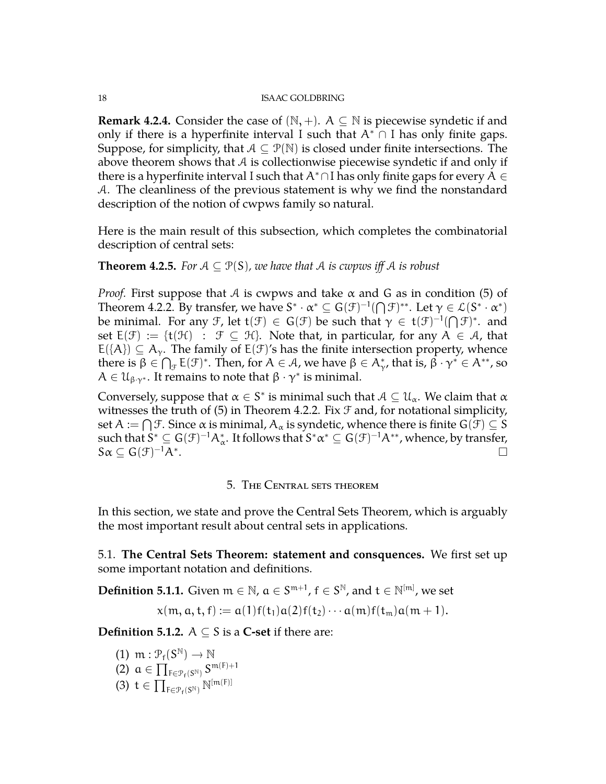**Remark 4.2.4.** Consider the case of  $(N, +)$ . A  $\subseteq N$  is piecewise syndetic if and only if there is a hyperfinite interval I such that  $A^* \cap I$  has only finite gaps. Suppose, for simplicity, that  $A \subseteq \mathcal{P}(\mathbb{N})$  is closed under finite intersections. The above theorem shows that  $A$  is collectionwise piecewise syndetic if and only if there is a hyperfinite interval I such that  $A^* \cap I$  has only finite gaps for every  $A \in$ A. The cleanliness of the previous statement is why we find the nonstandard description of the notion of cwpws family so natural.

Here is the main result of this subsection, which completes the combinatorial description of central sets:

## **Theorem 4.2.5.** *For*  $A \subseteq \mathcal{P}(S)$ *, we have that*  $A$  *is cwpws iff*  $A$  *is robust*

*Proof.* First suppose that A is cwpws and take  $\alpha$  and G as in condition (5) of Theorem [4.2.2.](#page-16-0) By transfer, we have  $S^* \cdot \alpha^* \subseteq G(\mathcal{F})^{-1}(\bigcap \mathcal{F})^{**}$ . Let  $\gamma \in \mathcal{L}(S^* \cdot \alpha^*)$ be minimal. For any F, let  $t(\mathcal{F}) \in G(\mathcal{F})$  be such that  $\gamma \in t(\mathcal{F})^{-1}(\bigcap \mathcal{F})^*$ . and set  $E(\mathcal{F}) := \{t(\mathcal{H}) : \mathcal{F} \subseteq \mathcal{H}\}\$ . Note that, in particular, for any  $A \in \mathcal{A}$ , that  $E({A}) \subseteq A_{\gamma}$ . The family of  $E(\mathcal{F})'$ s has the finite intersection property, whence there is  $\beta\in\bigcap_{\mathcal{F}}E(\mathcal{F})^*$ . Then, for  $A\in\mathcal{A}$ , we have  $\beta\in A_{\gamma'}^*$ , that is,  $\beta\cdot\gamma^*\in A^{**}$ , so  $A \in \mathcal{U}_{\beta\gamma^*}$ . It remains to note that  $\beta \cdot \gamma^*$  is minimal.

Conversely, suppose that  $\alpha \in S^*$  is minimal such that  $\mathcal{A} \subseteq \mathcal{U}_\alpha$ . We claim that  $\alpha$ witnesses the truth of  $(5)$  in Theorem [4.2.2.](#page-16-0) Fix  $\mathcal F$  and, for notational simplicity, set  $\mathsf{A}:=\bigcap \mathcal{F}.$  Since  $\alpha$  is minimal,  $\mathsf{A}_\alpha$  is syndetic, whence there is finite  $\mathsf{G}(\mathcal{F})\subseteq \mathsf{S}$ such that  $S^*\subseteq G(\mathcal{F})^{-1}\mathcal{A}^*_{\alpha}.$  It follows that  $S^*\alpha^*\subseteq G(\mathcal{F})^{-1}\mathcal{A}^{**}$ , whence, by transfer,  $S\alpha \subseteq G(\mathcal{F})^{-1}A^*$ .

# 5. The Central sets theorem

<span id="page-17-0"></span>In this section, we state and prove the Central Sets Theorem, which is arguably the most important result about central sets in applications.

<span id="page-17-1"></span>5.1. **The Central Sets Theorem: statement and consquences.** We first set up some important notation and definitions.

**Definition 5.1.1.** Given  $\mathfrak{m} \in \mathbb{N}$ ,  $\mathfrak{a} \in S^{\mathfrak{m}+1}$ ,  $\mathfrak{f} \in S^{\mathbb{N}}$ , and  $\mathfrak{t} \in \mathbb{N}^{[\mathfrak{m}]}$ , we set

$$
x(m, a, t, f) := a(1)f(t_1)a(2)f(t_2)\cdots a(m)f(t_m)a(m+1).
$$

**Definition 5.1.2.**  $A \subseteq S$  is a **C-set** if there are:

- (1)  $m: \mathcal{P}_f(S^{\mathbb{N}}) \to \mathbb{N}$ <br>(2)  $g \in \Pi$  cm
- (2)  $\alpha \in \prod_{F \in \mathcal{P}_f(S^{\mathbb{N}})} S^{\mathfrak{m}(F)+1}$
- (3)  $t \in \prod_{F \in \mathcal{P}_f(S^{\mathbb{N}})} \mathbb{N}^{[m(F)]}$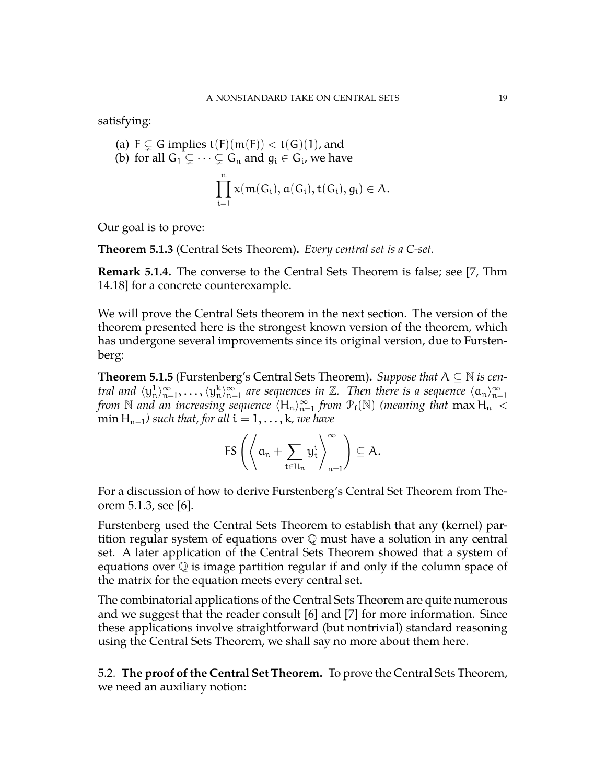satisfying:

(a) 
$$
F \subsetneq G
$$
 implies  $t(F)(m(F)) < t(G)(1)$ , and

(b) for all 
$$
G_1 \subsetneq \cdots \subsetneq G_n
$$
 and  $g_i \in G_i$ , we have

$$
\prod_{i=1}^n x(\mathfrak{m}(G_i),a(G_i),t(G_i),g_i)\in \mathcal{A}.
$$

Our goal is to prove:

<span id="page-18-1"></span>**Theorem 5.1.3** (Central Sets Theorem)**.** *Every central set is a C-set.*

**Remark 5.1.4.** The converse to the Central Sets Theorem is false; see [\[7,](#page-27-4) Thm 14.18] for a concrete counterexample.

We will prove the Central Sets theorem in the next section. The version of the theorem presented here is the strongest known version of the theorem, which has undergone several improvements since its original version, due to Furstenberg:

**Theorem 5.1.5** (Furstenberg's Central Sets Theorem)**.** *Suppose that* A ⊆ N *is central and*  $\langle y_n^1 \rangle_{n=0}^{\infty}$  $\mathbb{Q}_{n=1}^{\infty}, \ldots, \langle y_n^k \rangle_{n=1}^{\infty}$  $\sum_{n=1}^{\infty}$  are sequences in  $\mathbb{Z}$ . Then there is a sequence  $\langle \alpha_n \rangle_{n=1}^{\infty}$ n=1 *from*  $\mathbb N$  *and an increasing sequence*  $\langle H_n \rangle_{n=0}^{\infty}$  $_{n=1}^{\infty}$  *from*  $\mathcal{P}_{\mathrm{f}}(\mathbb{N})$  (meaning that  $\max H_n <$ min H<sub>n+1</sub>) such that, for all  $i = 1, \ldots, k$ , we have

$$
\mathsf{FS}\left(\left\langle \alpha_n + \sum_{t\in \mathsf{H}_n} \mathsf{y}^i_t \right\rangle_{n=1}^{\infty} \right) \subseteq A.
$$

For a discussion of how to derive Furstenberg's Central Set Theorem from Theorem [5.1.3,](#page-18-1) see [\[6\]](#page-27-5).

Furstenberg used the Central Sets Theorem to establish that any (kernel) partition regular system of equations over  $\mathbb Q$  must have a solution in any central set. A later application of the Central Sets Theorem showed that a system of equations over Q is image partition regular if and only if the column space of the matrix for the equation meets every central set.

The combinatorial applications of the Central Sets Theorem are quite numerous and we suggest that the reader consult [\[6\]](#page-27-5) and [\[7\]](#page-27-4) for more information. Since these applications involve straightforward (but nontrivial) standard reasoning using the Central Sets Theorem, we shall say no more about them here.

<span id="page-18-0"></span>5.2. **The proof of the Central Set Theorem.** To prove the Central Sets Theorem, we need an auxiliary notion: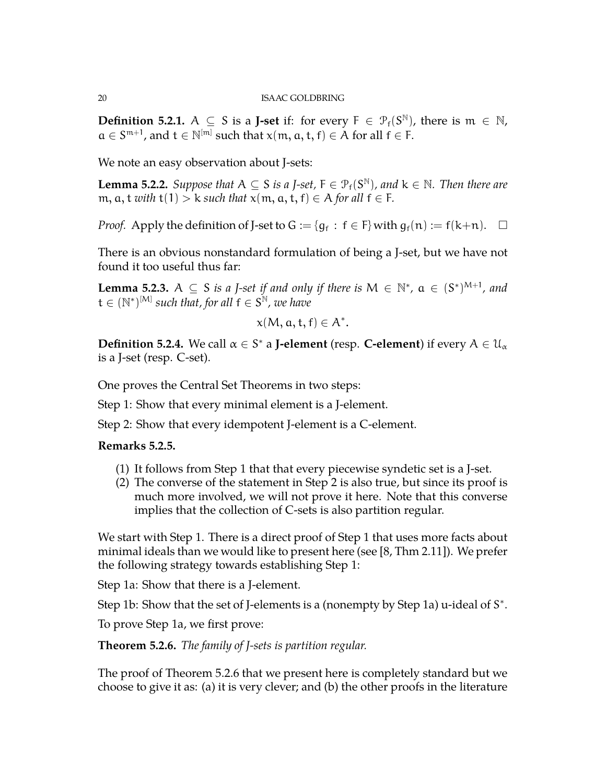**Definition 5.2.1.**  $A \subseteq S$  is a **J-set** if: for every  $F \in \mathcal{P}_f(S^{\mathbb{N}})$ , there is  $\mathfrak{m} \in \mathbb{N}$ ,  $a \in S^{m+1}$ , and  $t \in \mathbb{N}^{[m]}$  such that  $x(m, a, t, f) \in A$  for all  $f \in F$ .

We note an easy observation about J-sets:

**Lemma 5.2.2.** *Suppose that*  $A \subseteq S$  *is a J-set,*  $F \in \mathcal{P}_f(S^{\mathbb{N}})$ *, and*  $k \in \mathbb{N}$ *. Then there are* m,  $a, t$  *with*  $t(1) > k$  *such that*  $x(m, a, t, f) \in A$  *for all*  $f \in F$ *.* 

*Proof.* Apply the definition of J-set to  $G := \{g_f : f \in F\}$  with  $g_f(n) := f(k+n)$ .  $\Box$ 

There is an obvious nonstandard formulation of being a J-set, but we have not found it too useful thus far:

**Lemma 5.2.3.**  $A \subseteq S$  *is a J-set if and only if there is*  $M \in \mathbb{N}^*$ ,  $a \in (S^*)^{M+1}$ , and  $\mathsf{t} \in (\mathbb{N}^*)^{[\mathsf{M}]}$  such that, for all  $\mathsf{f} \in \mathsf{S}^\mathbb{N}$ , we have

$$
x(M, a, t, f) \in A^*.
$$

**Definition 5.2.4.** We call  $\alpha \in S^*$  a **J-element** (resp. **C-element**) if every  $A \in \mathcal{U}_\alpha$ is a J-set (resp. C-set).

One proves the Central Set Theorems in two steps:

Step 1: Show that every minimal element is a J-element.

Step 2: Show that every idempotent J-element is a C-element.

## **Remarks 5.2.5.**

- (1) It follows from Step 1 that that every piecewise syndetic set is a J-set.
- (2) The converse of the statement in Step 2 is also true, but since its proof is much more involved, we will not prove it here. Note that this converse implies that the collection of C-sets is also partition regular.

We start with Step 1. There is a direct proof of Step 1 that uses more facts about minimal ideals than we would like to present here (see [\[8,](#page-27-8) Thm 2.11]). We prefer the following strategy towards establishing Step 1:

Step 1a: Show that there is a J-element.

Step 1b: Show that the set of J-elements is a (nonempty by Step 1a) u-ideal of S<sup>\*</sup>.

To prove Step 1a, we first prove:

<span id="page-19-0"></span>**Theorem 5.2.6.** *The family of J-sets is partition regular.*

The proof of Theorem [5.2.6](#page-19-0) that we present here is completely standard but we choose to give it as: (a) it is very clever; and (b) the other proofs in the literature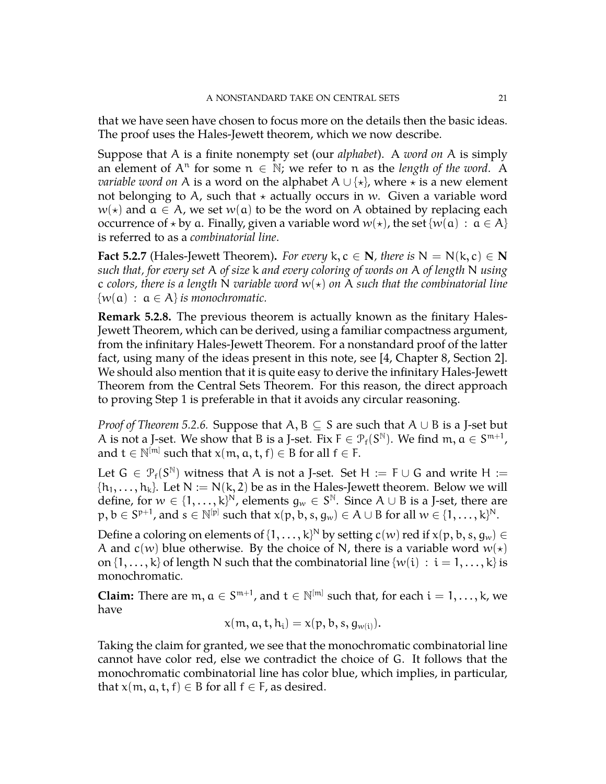that we have seen have chosen to focus more on the details then the basic ideas. The proof uses the Hales-Jewett theorem, which we now describe.

Suppose that A is a finite nonempty set (our *alphabet*). A *word on* A is simply an element of  $A<sup>n</sup>$  for some  $n \in \mathbb{N}$ ; we refer to n as the *length of the word*. A *variable word on* A is a word on the alphabet  $A \cup \{ \star \}$ , where  $\star$  is a new element not belonging to A, such that  $\star$  actually occurs in w. Given a variable word  $w(\star)$  and  $\alpha \in A$ , we set  $w(\alpha)$  to be the word on A obtained by replacing each occurrence of  $\star$  by a. Finally, given a variable word  $w(\star)$ , the set  $\{w(\mathfrak{a}) : \mathfrak{a} \in A\}$ is referred to as a *combinatorial line*.

**Fact 5.2.7** (Hales-Jewett Theorem). *For every*  $k, c \in \mathbb{N}$ *, there is*  $N = N(k, c) \in \mathbb{N}$ *such that, for every set* A *of size* k *and every coloring of words on* A *of length* N *using* c colors, there is a length N variable word  $w(*)$  on A such that the combinatorial line  $\{w(\mathfrak{a}) : \mathfrak{a} \in \mathcal{A}\}\$ is monochromatic.

**Remark 5.2.8.** The previous theorem is actually known as the finitary Hales-Jewett Theorem, which can be derived, using a familiar compactness argument, from the infinitary Hales-Jewett Theorem. For a nonstandard proof of the latter fact, using many of the ideas present in this note, see [\[4,](#page-27-1) Chapter 8, Section 2]. We should also mention that it is quite easy to derive the infinitary Hales-Jewett Theorem from the Central Sets Theorem. For this reason, the direct approach to proving Step 1 is preferable in that it avoids any circular reasoning.

*Proof of Theorem [5.2.6.](#page-19-0)* Suppose that A, B ⊆ S are such that A ∪ B is a J-set but A is not a J-set. We show that B is a J-set. Fix  $F \in \mathcal{P}_f(\mathcal{S}^{\mathbb{N}})$ . We find  $\mathfrak{m}, \mathfrak{a} \in \mathcal{S}^{\mathfrak{m}+1}$ , and  $t \in \mathbb{N}^{[m]}$  such that  $x(m, a, t, f) \in B$  for all  $f \in F$ .

Let  $G \in \mathcal{P}_f(S^{\mathbb{N}})$  witness that A is not a J-set. Set H := F  $\cup$  G and write H :=  $\{h_1, \ldots, h_k\}$ . Let  $N := N(k, 2)$  be as in the Hales-Jewett theorem. Below we will define, for  $w \in \{1,\ldots,k\}^{\mathbb{N}}$ , elements  $g_w \in S^{\mathbb{N}}$ . Since  $A \cup B$  is a J-set, there are  $\mathfrak{p},\mathfrak{b}\in\mathbb{S}^{\mathfrak{p}+1}$ , and  $\mathfrak{s}\in\mathbb{N}^{[\mathfrak{p}]}$  such that  $\mathsf{x}(\mathfrak{p},\mathfrak{b},\mathfrak{s},\mathfrak{g}_w)\in\mathcal{A}\cup\mathcal{B}$  for all  $w\in\{1,\dots,\mathsf{k}\}^\mathsf{N}.$ 

Define a coloring on elements of  $\{1,\ldots,$  k} $^{\mathsf{N}}$  by setting  $\mathfrak{c}(w)$  red if  $\mathsf{x}(\mathsf{p},\mathsf{b},\mathsf{s},\mathsf{g}_w) \in$ A and  $c(w)$  blue otherwise. By the choice of N, there is a variable word  $w(\star)$ on  $\{1, \ldots, k\}$  of length N such that the combinatorial line  $\{w(i) : i = 1, \ldots, k\}$  is monochromatic.

**Claim:** There are  $m, a \in S^{m+1}$ , and  $t \in \mathbb{N}^{[m]}$  such that, for each  $i = 1, ..., k$ , we have

$$
x(m, a, t, h_i) = x(p, b, s, g_{w(i)}).
$$

Taking the claim for granted, we see that the monochromatic combinatorial line cannot have color red, else we contradict the choice of G. It follows that the monochromatic combinatorial line has color blue, which implies, in particular, that  $x(m, a, t, f) \in B$  for all  $f \in F$ , as desired.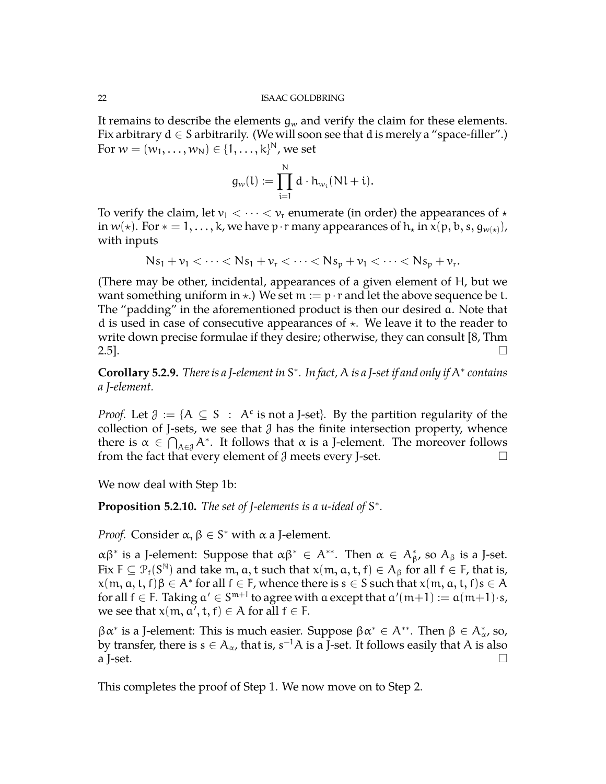It remains to describe the elements  $q_w$  and verify the claim for these elements. Fix arbitrary  $d \in S$  arbitrarily. (We will soon see that d is merely a "space-filler".) For  $w = (w_1, \ldots, w_N) \in \{1, \ldots, k\}^N$ , we set

$$
g_w(l) := \prod_{i=1}^N d \cdot h_{w_i}(Nl + i).
$$

To verify the claim, let  $v_1 < \cdots < v_r$  enumerate (in order) the appearances of  $\star$ in  $w(*)$ . For  $* = 1, ..., k$ , we have p · r many appearances of  $h_*$  in  $x(p, b, s, g_{w(*)})$ , with inputs

$$
Ns_1 + \nu_1 < \cdots < Ns_1 + \nu_r < \cdots < Ns_p + \nu_1 < \cdots < Ns_p + \nu_r.
$$

(There may be other, incidental, appearances of a given element of H, but we want something uniform in  $\star$ .) We set  $m := p \cdot r$  and let the above sequence be t. The "padding" in the aforementioned product is then our desired a. Note that d is used in case of consecutive appearances of  $\star$ . We leave it to the reader to write down precise formulae if they desire; otherwise, they can consult [\[8,](#page-27-8) Thm  $2.5$ ].

**Corollary 5.2.9.** *There is a J-element in* S ∗ *. In fact,* A *is a J-set if and only if* A<sup>∗</sup> *contains a J-element.*

*Proof.* Let  $\mathcal{J} := \{ A \subseteq S : A^c \text{ is not a J-set} \}.$  By the partition regularity of the collection of J-sets, we see that  $\mathcal J$  has the finite intersection property, whence there is  $\alpha \in \bigcap_{A \in \mathcal{J}} A^*$ . It follows that  $\alpha$  is a J-element. The moreover follows from the fact that every element of  $\mathcal J$  meets every J-set.

We now deal with Step 1b:

Proposition 5.2.10. The set of *J*-elements is a u-ideal of S<sup>\*</sup>.

*Proof.* Consider  $\alpha, \beta \in S^*$  with  $\alpha$  a J-element.

αβ<sup>∗</sup> is a J-element: Suppose that  $\alpha\beta^*$  ∈ A<sup>\*\*</sup>. Then  $\alpha \in A_{\beta}^*$ , so  $A_{\beta}$  is a J-set. Fix  $F\subseteq \mathcal{P}_f(S^{\mathbb{N}})$  and take  $\mathfrak{m}, \mathfrak{a}, \mathfrak{t}$  such that  $\mathsf{x}(\mathfrak{m},\mathfrak{a},\mathfrak{t},\mathfrak{f})\in\mathcal{A}_\beta$  for all  $\mathfrak{f}\in\mathsf{F}$ , that is,  $\mathsf{x}(\mathfrak{m},\mathfrak{a},\mathfrak{t},\mathfrak{f})\beta\in\mathsf{A}^*$  for all  $\mathfrak{f}\in\mathsf{F}$ , whence there is  $\mathfrak{s}\in\mathsf{S}$  such that  $\mathsf{x}(\mathfrak{m},\mathfrak{a},\mathfrak{t},\mathfrak{f})\mathfrak{s}\in\mathsf{A}$ for all  $f \in F$ . Taking  $a' \in S^{m+1}$  to agree with a except that  $a'(m+1) := a(m+1) \cdot s$ , we see that  $x(m, a', t, f) \in A$  for all  $f \in F$ .

 $\beta \alpha^*$  is a J-element: This is much easier. Suppose  $\beta \alpha^* \in A^{**}$ . Then  $\beta \in A^*_{\alpha}$ , so, by transfer, there is  $s \in A_\alpha$ , that is,  $s^{-1}A$  is a J-set. It follows easily that  $A$  is also a J-set.  $\Box$ 

This completes the proof of Step 1. We now move on to Step 2.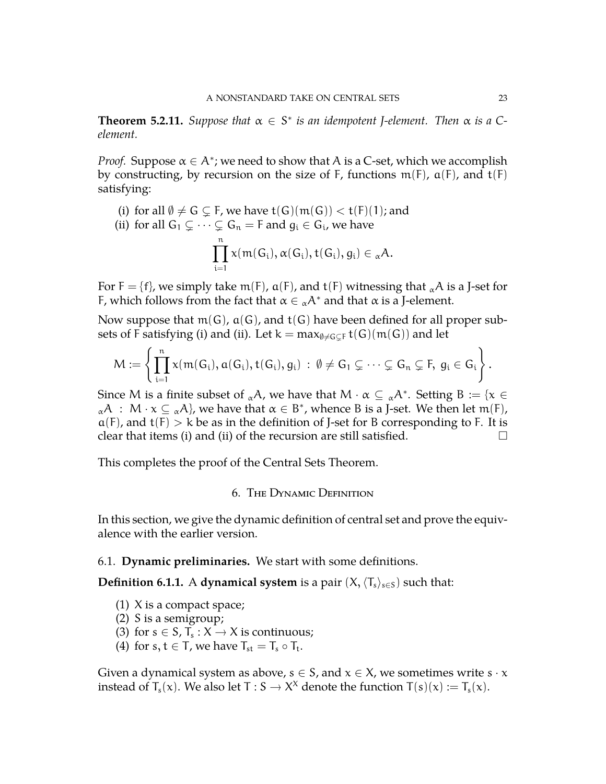**Theorem 5.2.11.** *Suppose that*  $\alpha \in S^*$  *is an idempotent J-element. Then*  $\alpha$  *is a* C*element.*

*Proof.* Suppose  $\alpha \in A^*$ ; we need to show that A is a C-set, which we accomplish by constructing, by recursion on the size of F, functions  $m(F)$ ,  $a(F)$ , and  $t(F)$ satisfying:

(i) for all  $\emptyset \neq G \subsetneq F$ , we have  $t(G)(m(G)) < t(F)(1)$ ; and

(ii) for all 
$$
G_1 \subsetneq \cdots \subsetneq G_n = F
$$
 and  $g_i \in G_i$ , we have  

$$
\prod_{i=1}^n x(m(G_i), \alpha(G_i), t(G_i), g_i) \in {}_{\alpha}A.
$$

For  $F = \{f\}$ , we simply take m(F),  $\alpha(F)$ , and  $t(F)$  witnessing that  $_{\alpha}A$  is a J-set for F, which follows from the fact that  $\alpha \in {}_{\alpha}A^*$  and that  $\alpha$  is a J-element.

Now suppose that  $m(G)$ ,  $a(G)$ , and  $t(G)$  have been defined for all proper subsets of F satisfying (i) and (ii). Let  $k = max_{\emptyset \neq G \subset F} t(G)(m(G))$  and let

$$
M:=\left\{\prod_{i=1}^n x(m(G_i),a(G_i),t(G_i),g_i)\ :\ \emptyset\neq G_1\subsetneq\cdots\subsetneq G_n\subsetneq F,\ g_i\in G_i\right\}.
$$

Since M is a finite subset of  ${}_{\alpha}A$ , we have that  $M \cdot \alpha \subseteq {}_{\alpha}A^*$ . Setting  $B := \{x \in A\}$  ${}_{\alpha}A$  :  $M \cdot x \subseteq {}_{\alpha}A$ , we have that  $\alpha \in B^*$ , whence B is a J-set. We then let m(F),  $a(F)$ , and  $t(F) > k$  be as in the definition of J-set for B corresponding to F. It is clear that items (i) and (ii) of the recursion are still satisfied.  $\Box$ 

<span id="page-22-0"></span>This completes the proof of the Central Sets Theorem.

## 6. The Dynamic Definition

<span id="page-22-1"></span>In this section, we give the dynamic definition of central set and prove the equivalence with the earlier version.

### 6.1. **Dynamic preliminaries.** We start with some definitions.

**Definition 6.1.1.** A **dynamical system** is a pair  $(X, \langle T_s \rangle_{s \in S})$  such that:

- (1) X is a compact space;
- (2) S is a semigroup;
- (3) for  $s \in S$ ,  $T_s : X \to X$  is continuous;
- (4) for  $s, t \in T$ , we have  $T_{st} = T_s \circ T_t$ .

Given a dynamical system as above,  $s \in S$ , and  $x \in X$ , we sometimes write  $s \cdot x$ instead of  $T_s(x)$ . We also let T : S  $\rightarrow$  X<sup>x</sup> denote the function T(s)(x) := T<sub>s</sub>(x).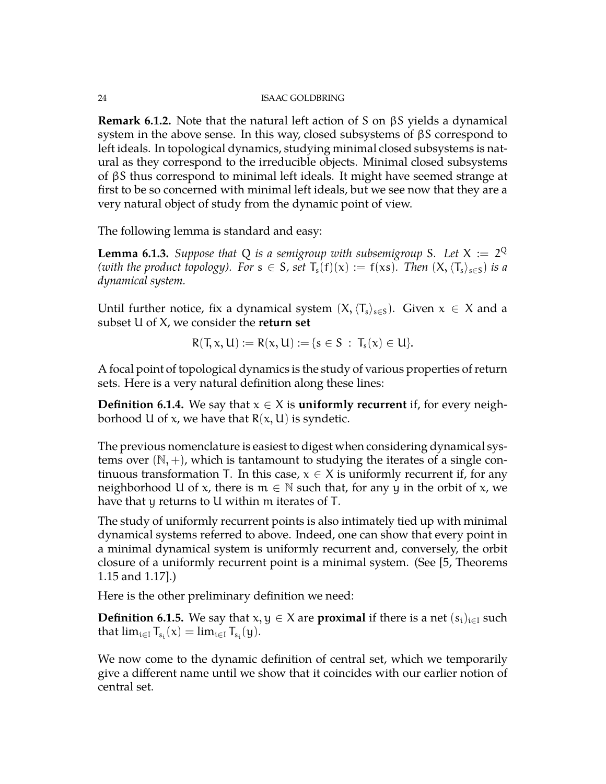**Remark 6.1.2.** Note that the natural left action of S on βS yields a dynamical system in the above sense. In this way, closed subsystems of βS correspond to left ideals. In topological dynamics, studying minimal closed subsystems is natural as they correspond to the irreducible objects. Minimal closed subsystems of βS thus correspond to minimal left ideals. It might have seemed strange at first to be so concerned with minimal left ideals, but we see now that they are a very natural object of study from the dynamic point of view.

The following lemma is standard and easy:

<span id="page-23-0"></span>**Lemma 6.1.3.** Suppose that Q is a semigroup with subsemigroup S. Let  $X := 2^Q$ *(with the product topology). For*  $s \in S$ *, set*  $T_s(f)(x) := f(xs)$ *. Then*  $(X, \langle T_s \rangle_{s \in S})$  *is a dynamical system.*

Until further notice, fix a dynamical system  $(X,\langle T_s\rangle_{s\in S})$ . Given  $x \in X$  and a subset U of X, we consider the **return set**

$$
R(T, x, U) := R(x, U) := \{s \in S \; : \; T_s(x) \in U\}.
$$

A focal point of topological dynamics is the study of various properties of return sets. Here is a very natural definition along these lines:

**Definition 6.1.4.** We say that  $x \in X$  is **uniformly recurrent** if, for every neighborhood U of x, we have that  $R(x, U)$  is syndetic.

The previous nomenclature is easiest to digest when considering dynamical systems over  $(N, +)$ , which is tantamount to studying the iterates of a single continuous transformation T. In this case,  $x \in X$  is uniformly recurrent if, for any neighborhood U of x, there is  $m \in \mathbb{N}$  such that, for any y in the orbit of x, we have that y returns to U within m iterates of T.

The study of uniformly recurrent points is also intimately tied up with minimal dynamical systems referred to above. Indeed, one can show that every point in a minimal dynamical system is uniformly recurrent and, conversely, the orbit closure of a uniformly recurrent point is a minimal system. (See [\[5,](#page-27-2) Theorems 1.15 and 1.17].)

Here is the other preliminary definition we need:

**Definition 6.1.5.** We say that  $x, y \in X$  are **proximal** if there is a net  $(s_i)_{i \in I}$  such that  $\lim_{i \in I} T_{s_i}(x) = \lim_{i \in I} T_{s_i}(y)$ .

We now come to the dynamic definition of central set, which we temporarily give a different name until we show that it coincides with our earlier notion of central set.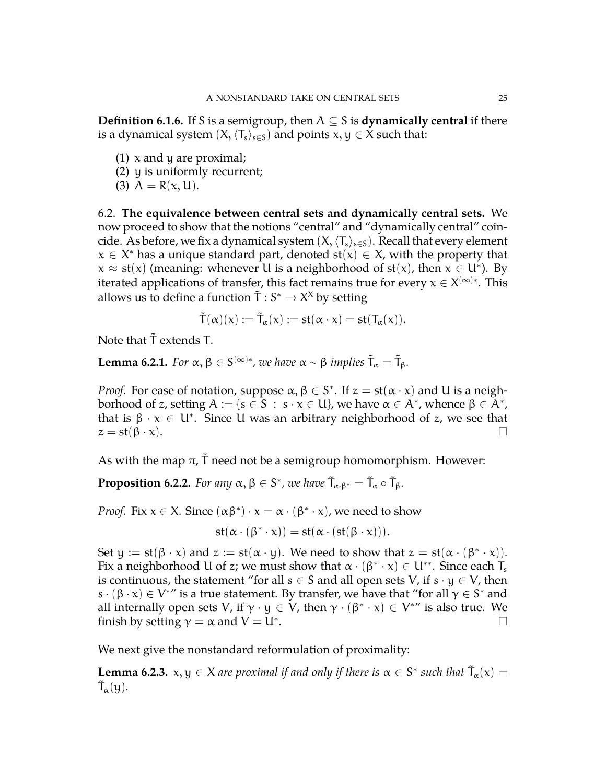**Definition 6.1.6.** If S is a semigroup, then  $A \subseteq S$  is **dynamically central** if there is a dynamical system  $(X, \langle T_s \rangle_{s \in S})$  and points  $x, y \in X$  such that:

- $(1)$  x and y are proximal;
- (2) y is uniformly recurrent;
- <span id="page-24-0"></span>(3)  $A = R(x, U)$ .

6.2. **The equivalence between central sets and dynamically central sets.** We now proceed to show that the notions "central" and "dynamically central" coincide. As before, we fix a dynamical system  $(X,\langle T_s\rangle_{s\in S})$ . Recall that every element  $x \in X^*$  has a unique standard part, denoted  $st(x) \in X$ , with the property that  $x \approx st(x)$  (meaning: whenever U is a neighborhood of  $st(x)$ , then  $x \in U^*$ ). By iterated applications of transfer, this fact remains true for every  $x \in X^{(\infty)*}$ . This allows us to define a function  $\tilde{T}: S^* \to X^X$  by setting

$$
\tilde T(\alpha)(x):=\tilde T_\alpha(x):=st(\alpha\cdot x)=st(T_\alpha(x)).
$$

Note that  $\tilde{T}$  extends T.

**Lemma 6.2.1.** *For*  $\alpha, \beta \in S^{(\infty)*}$ , we have  $\alpha \sim \beta$  implies  $\tilde{T}_{\alpha} = \tilde{T}_{\beta}$ .

*Proof.* For ease of notation, suppose  $\alpha, \beta \in S^*$ . If  $z = st(\alpha \cdot x)$  and U is a neighborhood of z, setting  $A := \{s \in \overline{S} : s \cdot x \in U\}$ , we have  $\alpha \in A^*$ , whence  $\beta \in \overline{A^*}$ , that is  $\beta \cdot x \in U^*$ . Since U was an arbitrary neighborhood of z, we see that  $z = \operatorname{st}(\beta \cdot x).$ 

As with the map  $\pi$ ,  $\bar{T}$  need not be a semigroup homomorphism. However:

**Proposition 6.2.2.** For any  $\alpha, \beta \in S^*$ , we have  $\tilde{T}_{\alpha \cdot \beta^*} = \tilde{T}_{\alpha} \circ \tilde{T}_{\beta}$ .

*Proof.* Fix  $x \in X$ . Since  $(\alpha \beta^*) \cdot x = \alpha \cdot (\beta^* \cdot x)$ , we need to show

$$
st(\alpha\cdot(\beta^*\cdot x))=st(\alpha\cdot(st(\beta\cdot x))).
$$

Set  $y := st(\beta \cdot x)$  and  $z := st(\alpha \cdot y)$ . We need to show that  $z = st(\alpha \cdot (\beta^* \cdot x))$ . Fix a neighborhood U of z; we must show that  $\alpha \cdot (\beta^* \cdot x) \in U^{**}$ . Since each T<sub>s</sub> is continuous, the statement "for all  $s \in S$  and all open sets V, if  $s \cdot y \in V$ , then  $s \cdot (\beta \cdot x) \in V^{*}$  is a true statement. By transfer, we have that "for all  $\gamma \in S^*$  and all internally open sets V, if  $\gamma \cdot y \in V$ , then  $\gamma \cdot (\beta^* \cdot x) \in V^{*}$  is also true. We finish by setting  $\gamma = \alpha$  and  $V = U^*$ . . В последните последните последните последните последните последните последните последните последните последн<br>В последните последните последните последните последните последните последните последните последните последнит

We next give the nonstandard reformulation of proximality:

**Lemma 6.2.3.**  $x, y \in X$  are proximal if and only if there is  $\alpha \in S^*$  such that  $\tilde{T}_\alpha(x) =$  $T_\alpha(y)$ .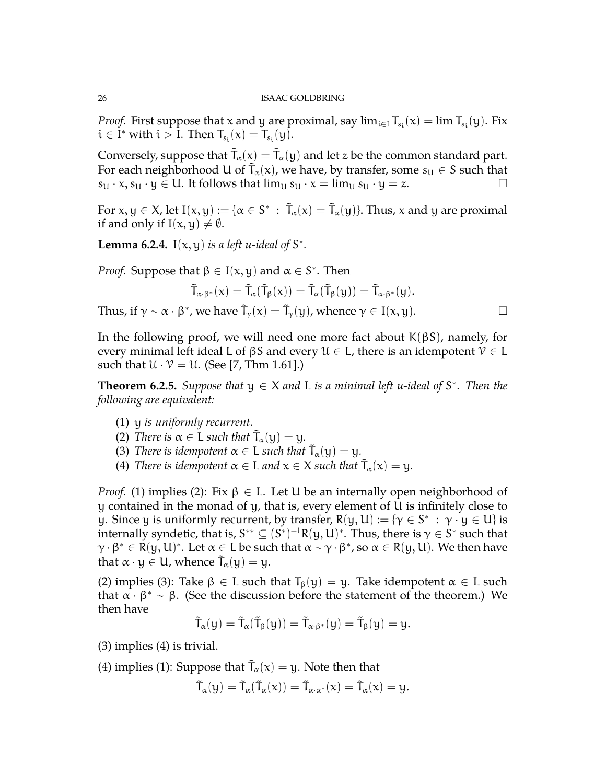*Proof.* First suppose that x and y are proximal, say  $\lim_{i \in I} T_{s_i}(x) = \lim T_{s_i}(y)$ . Fix  $i \in I^*$  with  $i > I$ . Then  $T_{s_i}(x) = T_{s_i}(y)$ .

Conversely, suppose that  $\tilde T_\alpha(\mathsf{x}) = \tilde T_\alpha(\mathsf{y})$  and let z be the common standard part. For each neighborhood U of  $\tilde{T}_{\alpha}(x)$ , we have, by transfer, some  $s_{U} \in S$  such that  $s_{U} \cdot x, s_{U} \cdot y \in U$ . It follows that  $\lim_{U} s_{U} \cdot x = \lim_{U} s_{U} \cdot y = z$ .

For  $x, y \in X$ , let  $I(x, y) := \{ \alpha \in S^* \, : \, \tilde{T}_\alpha(x) = \tilde{T}_\alpha(y) \}$ . Thus, x and y are proximal if and only if  $I(x, y) \neq \emptyset$ .

**Lemma 6.2.4.** I( $x$ ,  $y$ ) *is a left u-ideal of*  $S^*$ .

*Proof.* Suppose that  $\beta \in I(x, y)$  and  $\alpha \in S^*$ . Then

$$
\tilde{T}_{\alpha\cdot\beta^*}(x)=\tilde{T}_{\alpha}(\tilde{T}_{\beta}(x))=\tilde{T}_{\alpha}(\tilde{T}_{\beta}(y))=\tilde{T}_{\alpha\cdot\beta^*}(y).
$$

Thus, if  $\gamma \sim \alpha \cdot \beta^*$ , we have  $\tilde{T}_{\gamma}(x) = \tilde{T}_{\gamma}(y)$ , whence  $\gamma \in I(x, y)$ .

In the following proof, we will need one more fact about  $K(\beta S)$ , namely, for every minimal left ideal L of  $\beta S$  and every  $\mathcal{U} \in \mathsf{L}$ , there is an idempotent  $\mathcal{V} \in \mathsf{L}$ such that  $\mathcal{U} \cdot \mathcal{V} = \mathcal{U}$ . (See [\[7,](#page-27-4) Thm 1.61].)

**Theorem 6.2.5.** Suppose that  $y \in X$  and L is a minimal left u-ideal of  $S^*$ . Then the *following are equivalent:*

- (1) y *is uniformly recurrent.*
- (2) *There is*  $\alpha \in L$  *such that*  $\tilde{T}_{\alpha}(y) = y$ *.*
- (3) *There is idempotent*  $\alpha \in L$  *such that*  $\tilde{T}_{\alpha}(y) = y$ *.*
- (4) *There is idempotent*  $\alpha \in L$  *and*  $x \in X$  *such that*  $\tilde{T}_{\alpha}(x) = y$ *.*

*Proof.* (1) implies (2): Fix  $\beta \in L$ . Let U be an internally open neighborhood of y contained in the monad of y, that is, every element of U is infinitely close to y. Since y is uniformly recurrent, by transfer,  $R(y, U) := \{ \gamma \in S^* : \gamma \cdot y \in U \}$  is internally syndetic, that is,  $S^{**} \subseteq (S^*)^{-1}R(y,U)^*.$  Thus, there is  $\gamma \in S^*$  such that  $\gamma \cdot \beta^* \in R(y, U)^*$ . Let  $\alpha \in L$  be such that  $\alpha \sim \gamma \cdot \beta^*$ , so  $\alpha \in R(y, U)$ . We then have that  $\alpha \cdot y \in U$ , whence  $\tilde{T}_{\alpha}(y) = y$ .

(2) implies (3): Take  $\beta \in L$  such that  $T_{\beta}(y) = y$ . Take idempotent  $\alpha \in L$  such that  $\alpha \cdot \beta^* \sim \beta$ . (See the discussion before the statement of the theorem.) We then have

$$
\tilde{T}_\alpha(y)=\tilde{T}_\alpha(\tilde{T}_\beta(y))=\tilde{T}_{\alpha\cdot\beta^*}(y)=\tilde{T}_\beta(y)=y.
$$

(3) implies (4) is trivial.

(4) implies (1): Suppose that  $\tilde{T}_{\alpha}(x) = y$ . Note then that

$$
\tilde{T}_\alpha(y)=\tilde{T}_\alpha(\tilde{T}_\alpha(x))=\tilde{T}_{\alpha\cdot\alpha^*}(x)=\tilde{T}_\alpha(x)=y.
$$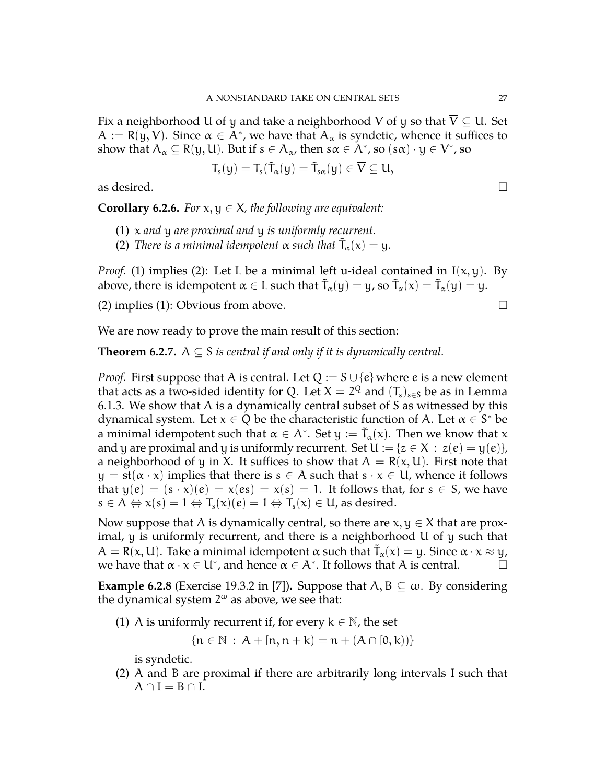Fix a neighborhood U of y and take a neighborhood V of y so that  $\overline{V} \subseteq U$ . Set  $A := R(y, V)$ . Since  $\alpha \in A^*$ , we have that  $A_\alpha$  is syndetic, whence it suffices to show that  $A_\alpha\subseteq R(y,U)$ . But if  $s\in A_\alpha$ , then  $s\alpha\in A^*$ , so  $(s\alpha)\cdot y\in V^*$ , so

$$
T_s(y)=T_s(\tilde{T}_{\alpha}(y)=\tilde{T}_{s\alpha}(y)\in \overline{V}\subseteq U,
$$

as desired.  $\Box$ 

**Corollary 6.2.6.** *For*  $x, y \in X$ *, the following are equivalent:* 

- (1) x *and* y *are proximal and* y *is uniformly recurrent.*
- (2) *There is a minimal idempotent*  $\alpha$  *such that*  $\tilde{T}_{\alpha}(x) = y$ *.*

*Proof.* (1) implies (2): Let L be a minimal left u-ideal contained in  $I(x, y)$ . By above, there is idempotent  $\alpha \in L$  such that  $\tilde{T}_{\alpha}(y) = y$ , so  $\tilde{T}_{\alpha}(x) = \tilde{T}_{\alpha}(y) = y$ .

(2) implies (1): Obvious from above.  $\square$ 

We are now ready to prove the main result of this section:

**Theorem 6.2.7.**  $A \subseteq S$  *is central if and only if it is dynamically central.* 

*Proof.* First suppose that A is central. Let  $Q := S \cup \{e\}$  where e is a new element that acts as a two-sided identity for Q. Let  $X=2^Q$  and  $(T_s)_{s\in S}$  be as in Lemma [6.1.3.](#page-23-0) We show that A is a dynamically central subset of S as witnessed by this dynamical system. Let  $x \in Q$  be the characteristic function of A. Let  $\alpha \in S^*$  be a minimal idempotent such that  $\alpha \in A^*$ . Set  $y := \tilde{T}_\alpha(x)$ . Then we know that x and y are proximal and y is uniformly recurrent. Set  $U := \{z \in X : z(e) = y(e)\},\$ a neighborhood of y in X. It suffices to show that  $A = R(x, U)$ . First note that  $y = st(\alpha \cdot x)$  implies that there is  $s \in A$  such that  $s \cdot x \in U$ , whence it follows that  $y(e) = (s \cdot x)(e) = x(es) = x(s) = 1$ . It follows that, for  $s \in S$ , we have  $s \in A \Leftrightarrow x(s) = 1 \Leftrightarrow T_s(x)(e) = 1 \Leftrightarrow T_s(x) \in U$ , as desired.

Now suppose that A is dynamically central, so there are  $x, y \in X$  that are proximal, y is uniformly recurrent, and there is a neighborhood U of y such that  $A = R(x, U)$ . Take a minimal idempotent  $\alpha$  such that  $\tilde{T}_{\alpha}(x) = y$ . Since  $\alpha \cdot x \approx y$ , we have that  $\alpha \cdot x \in U^*$ , and hence  $\alpha \in A^*$ . It follows that A is central.

**Example 6.2.8** (Exercise 19.3.2 in [\[7\]](#page-27-4)). Suppose that  $A, B \subseteq \omega$ . By considering the dynamical system  $2^{\omega}$  as above, we see that:

(1) A is uniformly recurrent if, for every  $k \in \mathbb{N}$ , the set

$$
\{n \in \mathbb{N} : A + [n, n + k] = n + (A \cap [0, k))\}
$$

is syndetic.

(2) A and B are proximal if there are arbitrarily long intervals I such that  $A \cap I = B \cap I$ .